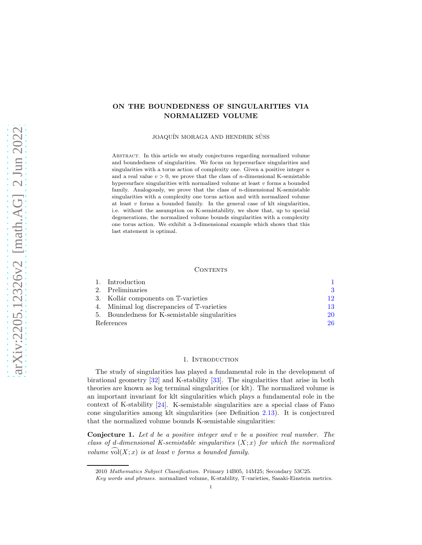# ON THE BOUNDEDNESS OF SINGULARITIES VIA NORMALIZED VOLUME

JOAQUÍN MORAGA AND HENDRIK SÜSS

Abstract. In this article we study conjectures regarding normalized volume and boundedness of singularities. We focus on hypersurface singularities and singularities with a torus action of complexity one. Given a positive integer  $n$ and a real value  $v > 0$ , we prove that the class of *n*-dimensional K-semistable hypersurface singularities with normalized volume at least  $v$  forms a bounded family. Analogously, we prove that the class of  $n$ -dimensional K-semistable singularities with a complexity one torus action and with normalized volume at least  $v$  forms a bounded family. In the general case of klt singularities, i.e. without the assumption on K-semistability, we show that, up to special degenerations, the normalized volume bounds singularities with a complexity one torus action. We exhibit a 3-dimensional example which shows that this last statement is optimal.

#### **CONTENTS**

|            | 1. Introduction                            |     |
|------------|--------------------------------------------|-----|
|            | 2. Preliminaries                           | 3   |
|            | 3. Kollár components on T-varieties        | 19. |
|            | Minimal log discrepancies of T-varieties   | -13 |
| 5.         | Boundedness for K-semistable singularities | 20  |
| References |                                            | 26  |

# 1. INTRODUCTION

<span id="page-0-0"></span>The study of singularities has played a fundamental role in the development of birational geometry [\[32\]](#page-26-0) and K-stability [\[33\]](#page-26-1). The singularities that arise in both theories are known as log terminal singularities (or klt). The normalized volume is an important invariant for klt singularities which plays a fundamental role in the context of K-stability [\[24\]](#page-26-2). K-semistable singularities are a special class of Fano cone singularities among klt singularities (see Definition [2.13\)](#page-5-0). It is conjectured that the normalized volume bounds K-semistable singularities:

<span id="page-0-1"></span>**Conjecture 1.** Let  $d$  be a positive integer and  $v$  be a positive real number. The class of d-dimensional K-semistable singularities  $(X; x)$  for which the normalized volume  $\widehat{\text{vol}}(X; x)$  is at least v forms a bounded family.

<sup>2010</sup> Mathematics Subject Classification. Primary 14B05, 14M25; Secondary 53C25.

Key words and phrases. normalized volume, K-stability, T-varieties, Sasaki-Einstein metrics.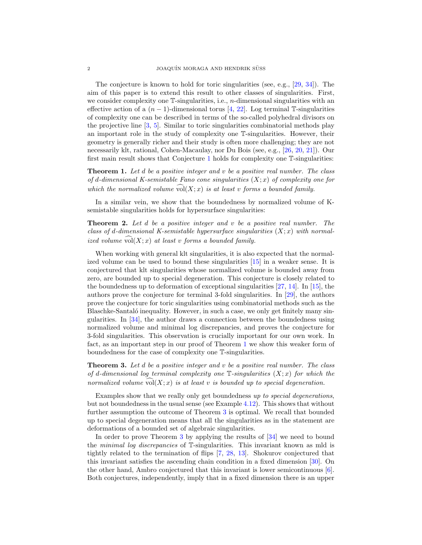The conjecture is known to hold for toric singularities (see, e.g., [\[29,](#page-26-3) [34\]](#page-26-4)). The aim of this paper is to extend this result to other classes of singularities. First, we consider complexity one  $\mathbb{T}$ -singularities, i.e., *n*-dimensional singularities with an effective action of a  $(n-1)$ -dimensional torus [\[4,](#page-25-1) [22\]](#page-25-2). Log terminal T-singularities of complexity one can be described in terms of the so-called polyhedral divisors on the projective line [\[3,](#page-25-3) [5\]](#page-25-4). Similar to toric singularities combinatorial methods play an important role in the study of complexity one T-singularities. However, their geometry is generally richer and their study is often more challenging; they are not necessarily klt, rational, Cohen-Macaulay, nor Du Bois (see, e.g., [\[26,](#page-26-5) [20,](#page-25-5) [21\]](#page-25-6)). Our first main result shows that Conjecture [1](#page-0-1) holds for complexity one T-singularities:

<span id="page-1-0"></span>**Theorem 1.** Let d be a positive integer and  $v$  be a positive real number. The class of d-dimensional K-semistable Fano cone singularities  $(X; x)$  of complexity one for which the normalized volume  $vol(X; x)$  is at least v forms a bounded family.

In a similar vein, we show that the boundedness by normalized volume of Ksemistable singularities holds for hypersurface singularities:

<span id="page-1-2"></span>**Theorem 2.** Let d be a positive integer and v be a positive real number. The class of d-dimensional K-semistable hypersurface singularities  $(X; x)$  with normalized volume  $\text{vol}(X; x)$  at least v forms a bounded family.

When working with general klt singularities, it is also expected that the normalized volume can be used to bound these singularities [\[15\]](#page-25-7) in a weaker sense. It is conjectured that klt singularities whose normalized volume is bounded away from zero, are bounded up to special degeneration. This conjecture is closely related to the boundedness up to deformation of exceptional singularities [\[27,](#page-26-6) [14\]](#page-25-8). In [\[15\]](#page-25-7), the authors prove the conjecture for terminal 3-fold singularities. In [\[29\]](#page-26-3), the authors prove the conjecture for toric singularities using combinatorial methods such as the Blaschke-Santaló inequality. However, in such a case, we only get finitely many singularities. In [\[34\]](#page-26-4), the author draws a connection between the boundedness using normalized volume and minimal log discrepancies, and proves the conjecture for 3-fold singularities. This observation is crucially important for our own work. In fact, as an important step in our proof of Theorem [1](#page-1-0) we show this weaker form of boundedness for the case of complexity one T-singularities.

<span id="page-1-1"></span>**Theorem 3.** Let  $d$  be a positive integer and  $v$  be a positive real number. The class of d-dimensional log terminal complexity one  $\mathbb{T}$ -singularities  $(X; x)$  for which the normalized volume  $\widehat{\text{vol}}(X; x)$  is at least v is bounded up to special degeneration.

Examples show that we really only get boundedness up to special degenerations, but not boundedness in the usual sense (see Example [4.12\)](#page-18-0). This shows that without further assumption the outcome of Theorem [3](#page-1-1) is optimal. We recall that bounded up to special degeneration means that all the singularities as in the statement are deformations of a bounded set of algebraic singularities.

In order to prove Theorem [3](#page-1-1) by applying the results of [\[34\]](#page-26-4) we need to bound the minimal log discrepancies of T-singularities. This invariant known as mld is tightly related to the termination of flips [\[7,](#page-25-9) [28,](#page-26-7) [13\]](#page-25-10). Shokurov conjectured that this invariant satisfies the ascending chain condition in a fixed dimension [\[30\]](#page-26-8). On the other hand, Ambro conjectured that this invariant is lower semicontinuous  $[6]$ . Both conjectures, independently, imply that in a fixed dimension there is an upper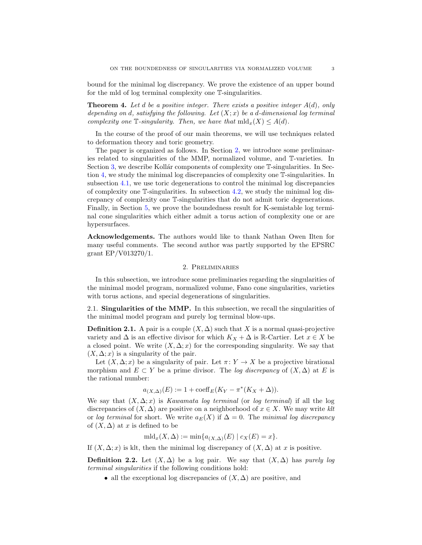bound for the minimal log discrepancy. We prove the existence of an upper bound for the mld of log terminal complexity one T-singularities.

<span id="page-2-1"></span>**Theorem 4.** Let d be a positive integer. There exists a positive integer  $A(d)$ , only depending on d, satisfying the following. Let  $(X; x)$  be a d-dimensional log terminal complexity one  $\mathbb{T}$ -singularity. Then, we have that  $mld_x(X) \leq A(d)$ .

In the course of the proof of our main theorems, we will use techniques related to deformation theory and toric geometry.

The paper is organized as follows. In Section [2,](#page-2-0) we introduce some preliminaries related to singularities of the MMP, normalized volume, and T-varieties. In Section [3,](#page-11-0) we describe Kollár components of complexity one  $\mathbb{T}$ -singularities. In Section [4,](#page-12-0) we study the minimal log discrepancies of complexity one T-singularities. In subsection [4.1,](#page-12-1) we use toric degenerations to control the minimal log discrepancies of complexity one T-singularities. In subsection [4.2,](#page-14-0) we study the minimal log discrepancy of complexity one T-singularities that do not admit toric degenerations. Finally, in Section [5,](#page-19-0) we prove the boundedness result for K-semistable log terminal cone singularities which either admit a torus action of complexity one or are hypersurfaces.

Acknowledgements. The authors would like to thank Nathan Owen Ilten for many useful comments. The second author was partly supported by the EPSRC grant EP/V013270/1.

#### 2. Preliminaries

<span id="page-2-0"></span>In this subsection, we introduce some preliminaries regarding the singularities of the minimal model program, normalized volume, Fano cone singularities, varieties with torus actions, and special degenerations of singularities.

2.1. Singularities of the MMP. In this subsection, we recall the singularities of the minimal model program and purely log terminal blow-ups.

**Definition 2.1.** A pair is a couple  $(X, \Delta)$  such that X is a normal quasi-projective variety and  $\Delta$  is an effective divisor for which  $K_X + \Delta$  is R-Cartier. Let  $x \in X$  be a closed point. We write  $(X, \Delta; x)$  for the corresponding singularity. We say that  $(X, \Delta; x)$  is a singularity of the pair.

Let  $(X, \Delta; x)$  be a singularity of pair. Let  $\pi: Y \to X$  be a projective birational morphism and  $E \subset Y$  be a prime divisor. The log discrepancy of  $(X, \Delta)$  at E is the rational number:

$$
a_{(X,\Delta)}(E) := 1 + \text{coeff}_E(K_Y - \pi^*(K_X + \Delta)).
$$

We say that  $(X, \Delta; x)$  is *Kawamata log terminal* (or *log terminal*) if all the log discrepancies of  $(X, \Delta)$  are positive on a neighborhood of  $x \in X$ . We may write klt or log terminal for short. We write  $a_E(X)$  if  $\Delta = 0$ . The minimal log discrepancy of  $(X, \Delta)$  at x is defined to be

$$
\mathrm{mld}_x(X,\Delta) := \min\{a_{(X,\Delta)}(E) \mid c_X(E) = x\}.
$$

If  $(X, \Delta; x)$  is klt, then the minimal log discrepancy of  $(X, \Delta)$  at x is positive.

**Definition 2.2.** Let  $(X, \Delta)$  be a log pair. We say that  $(X, \Delta)$  has *purely log* terminal singularities if the following conditions hold:

• all the exceptional log discrepancies of  $(X, \Delta)$  are positive, and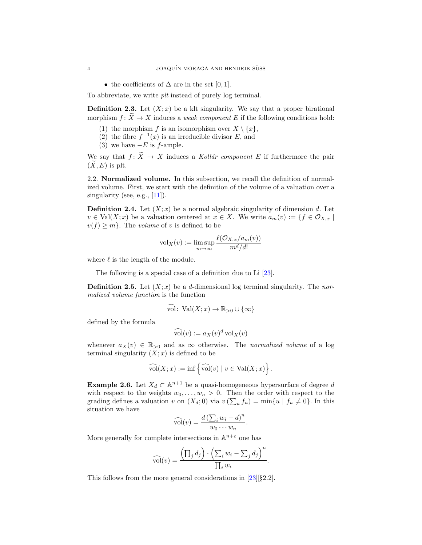• the coefficients of  $\Delta$  are in the set [0, 1].

To abbreviate, we write plt instead of purely log terminal.

**Definition 2.3.** Let  $(X; x)$  be a klt singularity. We say that a proper birational morphism  $f: X \to X$  induces a *weak component* E if the following conditions hold:

- (1) the morphism f is an isomorphism over  $X \setminus \{x\}$ ,
- (2) the fibre  $f^{-1}(x)$  is an irreducible divisor E, and
- (3) we have  $-E$  is f-ample.

We say that  $f: \widetilde{X} \to X$  induces a Kollár component E if furthermore the pair  $(X, E)$  is plt.

2.2. Normalized volume. In this subsection, we recall the definition of normalized volume. First, we start with the definition of the volume of a valuation over a singularity (see, e.g.,  $[11]$ ).

**Definition 2.4.** Let  $(X; x)$  be a normal algebraic singularity of dimension d. Let  $v \in Val(X; x)$  be a valuation centered at  $x \in X$ . We write  $a_m(v) := \{f \in \mathcal{O}_{X,x} \mid$  $v(f) \geq m$ . The *volume* of v is defined to be

$$
\mathrm{vol}_X(v) := \limsup_{m \to \infty} \frac{\ell(\mathcal{O}_{X,x}/a_m(v))}{m^d/d!}
$$

where  $\ell$  is the length of the module.

The following is a special case of a definition due to Li  $[23]$ .

**Definition 2.5.** Let  $(X; x)$  be a d-dimensional log terminal singularity. The normalized volume function is the function

$$
\widehat{\text{vol}}\colon \operatorname{Val}(X; x) \to \mathbb{R}_{>0} \cup \{\infty\}
$$

defined by the formula

$$
\widehat{\text{vol}}(v) := a_X(v)^d \,\text{vol}_X(v)
$$

whenever  $a_X(v) \in \mathbb{R}_{>0}$  and as  $\infty$  otherwise. The normalized volume of a log terminal singularity  $(X; x)$  is defined to be

$$
\widehat{\text{vol}}(X; x) := \inf \left\{ \widehat{\text{vol}}(v) \mid v \in \text{Val}(X; x) \right\}.
$$

<span id="page-3-0"></span>**Example 2.6.** Let  $X_d \subset \mathbb{A}^{n+1}$  be a quasi-homogeneous hypersurface of degree d with respect to the weights  $w_0, \ldots, w_n > 0$ . Then the order with respect to the grading defines a valuation v on  $(X_d; 0)$  via  $v(\sum_u f_u) = \min\{u \mid f_u \neq 0\}$ . In this situation we have

$$
\widehat{\mathrm{vol}}(v) = \frac{d\left(\sum_i w_i - d\right)^n}{w_0 \cdots w_n}.
$$

More generally for complete intersections in  $\mathbb{A}^{n+c}$  one has

$$
\widehat{\text{vol}}(v) = \frac{\left(\prod_j d_j\right) \cdot \left(\sum_i w_i - \sum_j d_j\right)^n}{\prod_i w_i}.
$$

This follows from the more general considerations in [\[23\]](#page-26-9)[§2.2].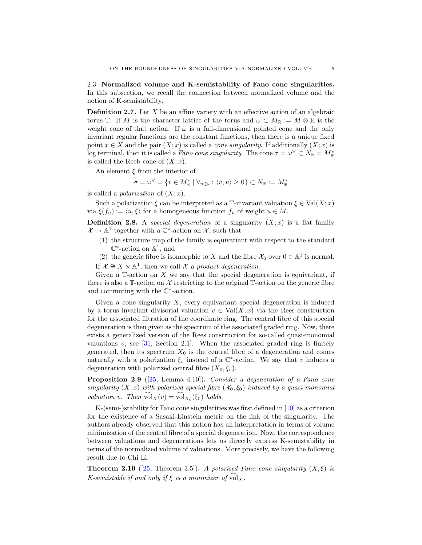2.3. Normalized volume and K-semistability of Fano cone singularities. In this subsection, we recall the connection between normalized volume and the notion of K-semistability.

**Definition 2.7.** Let  $X$  be an affine variety with an effective action of an algebraic torus T. If M is the character lattice of the torus and  $\omega \subset M_{\mathbb{R}} := M \otimes \mathbb{R}$  is the weight cone of that action. If  $\omega$  is a full-dimensional pointed cone and the only invariant regular functions are the constant functions, then there is a unique fixed point  $x \in X$  and the pair  $(X; x)$  is called a *cone singularity*. If additionally  $(X; x)$  is log terminal, then it is called a *Fano cone singularity*. The cone  $\sigma = \omega^{\vee} \subset N_{\mathbb{R}} = M_{\mathbb{R}}^{*}$ is called the Reeb cone of  $(X; x)$ .

An element  $\xi$  from the interior of

$$
\sigma = \omega^\vee = \{v \in M_\mathbb{R}^* \mid \forall_{u \in \omega} \colon \langle v, u \rangle \geq 0\} \subset N_\mathbb{R} := M_\mathbb{R}^*
$$

is called a *polarization* of  $(X; x)$ .

Such a polarization  $\xi$  can be interpreted as a T-invariant valuation  $\xi \in Val(X; x)$ via  $\xi(f_u) := \langle u, \xi \rangle$  for a homogeneous function  $f_u$  of weight  $u \in M$ .

**Definition 2.8.** A special degeneration of a singularity  $(X; x)$  is a flat family  $\mathcal{X} \to \mathbb{A}^1$  together with a  $\mathbb{C}^*$ -action on  $\mathcal{X}$ , such that

- (1) the structure map of the family is equivariant with respect to the standard  $\mathbb{C}^*$ -action on  $\mathbb{A}^1$ , and
- (2) the generic fibre is isomorphic to X and the fibre  $\mathcal{X}_0$  over  $0 \in \mathbb{A}^1$  is normal.
- If  $\mathcal{X} \cong X \times \mathbb{A}^1$ , then we call  $\mathcal{X}$  a product degeneration.

Given a  $\mathbb T$ -action on X we say that the special degeneration is equivariant, if there is also a T-action on  $\mathcal X$  restricting to the original T-action on the generic fibre and commuting with the  $\mathbb{C}^*$ -action.

Given a cone singularity  $X$ , every equivariant special degeneration is induced by a torus invariant divisorial valuation  $v \in Val(X; x)$  via the Rees construction for the associated filtration of the coordinate ring. The central fibre of this special degeneration is then given as the spectrum of the associated graded ring. Now, there exists a generalized version of the Rees construction for so-called quasi-monomial valuations  $v$ , see [\[31,](#page-26-10) Section 2.1]. When the associated graded ring is finitely generated, then its spectrum  $X_0$  is the central fibre of a degeneration and comes naturally with a polarization  $\xi_v$  instead of a  $\mathbb{C}^*$ -action. We say that v induces a degeneration with polarized central fibre  $(X_0, \xi_v)$ .

<span id="page-4-0"></span>**Proposition 2.9** ([\[25,](#page-26-11) Lemma 4.10]). Consider a degeneration of a Fano cone singularity  $(X; x)$  with polarized special fibre  $(X_0, \xi_0)$  induced by a quasi-monomial valuation v. Then  $vol_X(v) = vol_{X_0}(\xi_0)$  holds.

K-(semi-)stability for Fano cone singularities was first defined in [\[10\]](#page-25-13) as a criterion for the existence of a Sasaki-Einstein metric on the link of the singularity. The authors already observed that this notion has an interpretation in terms of volume minimization of the central fibre of a special degeneration. Now, the correspondence between valuations and degenerations lets us directly express K-semistability in terms of the normalized volume of valuations. More precisely, we have the following result due to Chi Li.

<span id="page-4-1"></span>**Theorem 2.10** ([\[25,](#page-26-11) Theorem 3.5]). A polarised Fano cone singularity  $(X,\xi)$  is K-semistable if and only if  $\xi$  is a minimizer of volx.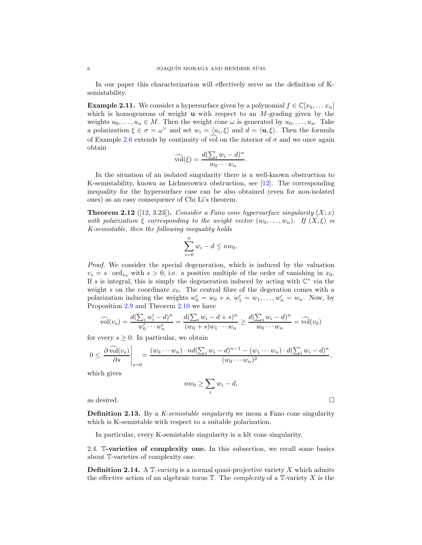In our paper this characterization will effectively serve as the definition of Ksemistability.

<span id="page-5-3"></span>**Example 2.11.** We consider a hypersurface given by a polynomial  $f \in \mathbb{C}[x_0, \ldots, x_n]$ which is homogeneous of weight **u** with respect to an  $M$ -grading given by the weights  $u_0, \ldots, u_n \in M$ . Then the weight cone  $\omega$  is generated by  $u_0, \ldots, u_n$ . Take a polarization  $\xi \in \sigma = \omega^{\vee}$  and set  $w_i = \langle u_i, \xi \rangle$  and  $d = \langle \mathbf{u}, \xi \rangle$ . Then the formula of Example [2.6](#page-3-0) extends by continuity of vol on the interior of  $\sigma$  and we once again obtain

$$
\widehat{\mathrm{vol}}(\xi) = \frac{d(\sum_i w_i - d)^n}{w_0 \cdots w_n}.
$$

In the situation of an isolated singularity there is a well-known obstruction to K-semistability, known as Lichnerowicz obstruction, see [\[12\]](#page-25-14). The corresponding inequality for the hypersurface case can be also obtained (even for non-isolated ones) as an easy consequence of Chi Li's theorem.

<span id="page-5-2"></span>**Theorem 2.12** ([\[12,](#page-25-14) 3.23]). Consider a Fano cone hypersurface singularity  $(X; x)$ with polarization  $\xi$  corresponding to the weight vector  $(w_0, \ldots, w_n)$ . If  $(X, \xi)$  is K-semistable, then the following inequality holds

$$
\sum_{i=0}^{n} w_i - d \leq n w_0.
$$

Proof. We consider the special degeneration, which is induced by the valuation  $v_s = s \cdot \text{ord}_{x_0}$  with  $s > 0$ , i.e. a positive multiple of the order of vanishing in  $x_0$ . If s is integral, this is simply the degeneration induced by acting with  $\mathbb{C}^*$  via the weight s on the coordinate  $x_0$ . The central fibre of the degeration comes with a polarization inducing the weights  $w'_0 = w_0 + s$ ,  $w'_1 = w_1, \ldots, w'_n = w_n$ . Now, by Proposition [2.9](#page-4-0) and Theorem [2.10](#page-4-1) we have

$$
\widehat{\text{vol}}(v_s) = \frac{d(\sum_i w'_i - d)^n}{w'_0 \cdots w'_n} = \frac{d(\sum_i w_i - d + s)^n}{(w_0 + s)w_1 \cdots w_n} \ge \frac{d(\sum_i w_i - d)^n}{w_0 \cdots w_n} = \widehat{\text{vol}}(v_0)
$$

for every  $s \geq 0$ . In particular, we obtain

$$
0 \leq \left. \frac{\partial \widehat{\text{vol}}(v_s)}{\partial s} \right|_{s=0} = \frac{(w_0 \cdots w_n) \cdot nd(\sum_i w_i - d)^{n-1} - (w_1 \cdots w_n) \cdot d(\sum_i w_i - d)^n}{(w_0 \cdots w_n)^2},
$$

which gives

$$
nw_0 \ge \sum_i w_i - d,
$$

as desired.  $\Box$ 

<span id="page-5-0"></span>**Definition 2.13.** By a K-semistable singularity we mean a Fano cone singularity which is K-semistable with respect to a suitable polarization.

In particular, every K-semistable singularity is a klt cone singularity.

<span id="page-5-1"></span>2.4. T-varieties of complexity one. In this subsection, we recall some basics about T-varieties of complexity one.

**Definition 2.14.** A  $\mathbb{T}\text{-}variety$  is a normal quasi-projective variety X which admits the effective action of an algebraic torus  $\mathbb T$ . The *complexity* of a  $\mathbb T$ -variety X is the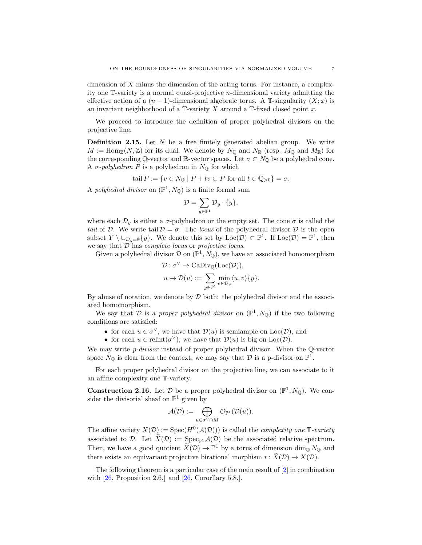dimension of  $X$  minus the dimension of the acting torus. For instance, a complexity one T-variety is a normal quasi-projective n-dimensional variety admitting the effective action of a  $(n-1)$ -dimensional algebraic torus. A T-singularity  $(X; x)$  is an invariant neighborhood of a  $\mathbb{T}\text{-}\text{variety } X$  around a  $\mathbb{T}\text{-}\text{fixed closed point } x$ .

We proceed to introduce the definition of proper polyhedral divisors on the projective line.

**Definition 2.15.** Let  $N$  be a free finitely generated abelian group. We write  $M := \text{Hom}_{\mathbb{Z}}(N, \mathbb{Z})$  for its dual. We denote by  $N_{\mathbb{Q}}$  and  $N_{\mathbb{R}}$  (resp.  $M_{\mathbb{Q}}$  and  $M_{\mathbb{R}}$ ) for the corresponding Q-vector and R-vector spaces. Let  $\sigma \subset N_{\mathbb{Q}}$  be a polyhedral cone. A σ-polyhedron P is a polyhedron in  $N_{\mathbb{Q}}$  for which

$$
tail P := \{ v \in N_{\mathbb{Q}} \mid P + tv \subset P \text{ for all } t \in \mathbb{Q}_{>0} \} = \sigma.
$$

A polyhedral divisor on  $(\mathbb{P}^1, N_{\mathbb{Q}})$  is a finite formal sum

$$
\mathcal{D} = \sum_{y \in \mathbb{P}^1} \mathcal{D}_y \cdot \{y\},\
$$

where each  $\mathcal{D}_y$  is either a  $\sigma$ -polyhedron or the empty set. The cone  $\sigma$  is called the tail of D. We write tail  $\mathcal{D} = \sigma$ . The locus of the polyhedral divisor D is the open subset  $Y \setminus \cup_{\mathcal{D}_y = \emptyset} \{y\}$ . We denote this set by Loc $(\mathcal{D}) \subset \mathbb{P}^1$ . If Loc $(\mathcal{D}) = \mathbb{P}^1$ , then we say that  $\mathcal D$  has *complete locus* or *projective locus*.

Given a polyhedral divisor  $\mathcal{D}$  on  $(\mathbb{P}^1, N_{\mathbb{Q}})$ , we have an associated homomorphism

$$
\mathcal{D} \colon \sigma^{\vee} \to \mathrm{CaDiv}_{\mathbb{Q}}(\mathrm{Loc}(\mathcal{D})),
$$
  

$$
u \mapsto \mathcal{D}(u) := \sum_{y \in \mathbb{P}^1} \min_{v \in \mathcal{D}_y} \langle u, v \rangle \{y\}.
$$

By abuse of notation, we denote by  $D$  both: the polyhedral divisor and the associated homomorphism.

We say that D is a proper polyhedral divisor on  $(\mathbb{P}^1, N_{\mathbb{Q}})$  if the two following conditions are satisfied:

- for each  $u \in \sigma^{\vee}$ , we have that  $\mathcal{D}(u)$  is semiample on  $Loc(\mathcal{D})$ , and
- for each  $u \in \text{relint}(\sigma^{\vee})$ , we have that  $\mathcal{D}(u)$  is big on  $\text{Loc}(\mathcal{D})$ .

We may write *p-divisor* instead of proper polyhedral divisor. When the Q-vector space  $N_{\mathbb{Q}}$  is clear from the context, we may say that  $\mathcal D$  is a p-divisor on  $\mathbb{P}^1$ .

For each proper polyhedral divisor on the projective line, we can associate to it an affine complexity one T-variety.

**Construction 2.16.** Let  $\mathcal{D}$  be a proper polyhedral divisor on  $(\mathbb{P}^1, N_{\mathbb{Q}})$ . We consider the divisorial sheaf on  $\mathbb{P}^1$  given by

$$
\mathcal{A}(\mathcal{D}):=\bigoplus_{u\in\sigma^\vee\cap M}\mathcal{O}_{\mathbb{P}^1}(\mathcal{D}(u)).
$$

The affine variety  $X(\mathcal{D}) := \text{Spec}(H^0(\mathcal{A}(\mathcal{D})))$  is called the *complexity one*  $\mathbb{T}$ -variety associated to D. Let  $\widetilde{X}(\mathcal{D}) := \operatorname{Spec}_{\mathbb{P}^1} \mathcal{A}(\mathcal{D})$  be the associated relative spectrum. Then, we have a good quotient  $\tilde{X}(D) \to \mathbb{P}^1$  by a torus of dimension  $\dim_{\mathbb{Q}} N_{\mathbb{Q}}$  and there exists an equivariant projective birational morphism  $r: X(\mathcal{D}) \to X(\mathcal{D})$ .

The following theorem is a particular case of the main result of [\[2\]](#page-25-15) in combination with  $[26,$  Proposition 2.6.] and  $[26,$  Cororllary 5.8.].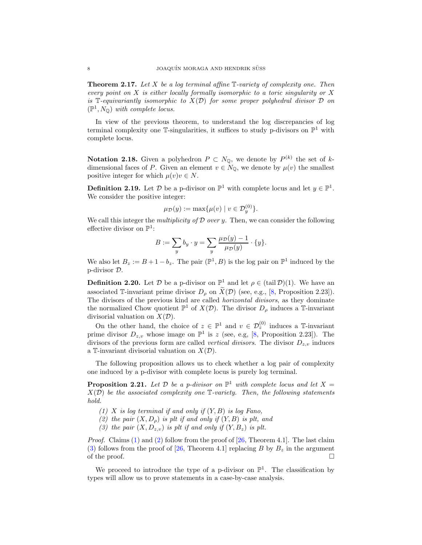**Theorem 2.17.** Let X be a log terminal affine  $\mathbb{T}$ -variety of complexity one. Then every point on  $X$  is either locally formally isomorphic to a toric singularity or  $X$ is T-equivariantly isomorphic to  $X(\mathcal{D})$  for some proper polyhedral divisor  $\mathcal D$  on  $(\mathbb{P}^1, N_{\mathbb{Q}})$  with complete locus.

In view of the previous theorem, to understand the log discrepancies of log terminal complexity one  $\mathbb{T}$ -singularities, it suffices to study p-divisors on  $\mathbb{P}^1$  with complete locus.

**Notation 2.18.** Given a polyhedron  $P \subset N_{\mathbb{Q}}$ , we denote by  $P^{(k)}$  the set of kdimensional faces of P. Given an element  $v \in N_0$ , we denote by  $\mu(v)$  the smallest positive integer for which  $\mu(v)v \in N$ .

**Definition 2.19.** Let  $\mathcal{D}$  be a p-divisor on  $\mathbb{P}^1$  with complete locus and let  $y \in \mathbb{P}^1$ . We consider the positive integer:

$$
\mu_{\mathcal{D}}(y) := \max\{\mu(v) \mid v \in \mathcal{D}_y^{(0)}\}.
$$

We call this integer the *multiplicity of D over y*. Then, we can consider the following effective divisor on  $\mathbb{P}^1$ :

$$
B := \sum_{y} b_y \cdot y = \sum_{y} \frac{\mu_{\mathcal{D}}(y) - 1}{\mu_{\mathcal{D}}(y)} \cdot \{y\}.
$$

We also let  $B_z := B + 1 - b_z$ . The pair  $(\mathbb{P}^1, B)$  is the log pair on  $\mathbb{P}^1$  induced by the p-divisor D.

**Definition 2.20.** Let  $\mathcal{D}$  be a p-divisor on  $\mathbb{P}^1$  and let  $\rho \in (\text{tail }\mathcal{D})(1)$ . We have an associated T-invariant prime divisor  $D_{\rho}$  on  $\widetilde{X}(\mathcal{D})$  (see, e.g., [\[8,](#page-25-16) Proposition 2.23]). The divisors of the previous kind are called horizontal divisors, as they dominate the normalized Chow quotient  $\mathbb{P}^1$  of  $X(\mathcal{D})$ . The divisor  $D_\rho$  induces a T-invariant divisorial valuation on  $X(\mathcal{D})$ .

On the other hand, the choice of  $z \in \mathbb{P}^1$  and  $v \in \mathcal{D}_z^{(0)}$  induces a T-invariant prime divisor  $D_{z,v}$  whose image on  $\mathbb{P}^1$  is z (see, e.g, [\[8,](#page-25-16) Proposition 2.23]). The divisors of the previous form are called *vertical divisors*. The divisor  $D_{z,v}$  induces a T-invariant divisorial valuation on  $X(\mathcal{D})$ .

The following proposition allows us to check whether a log pair of complexity one induced by a p-divisor with complete locus is purely log terminal.

<span id="page-7-3"></span>**Proposition 2.21.** Let  $D$  be a p-divisor on  $\mathbb{P}^1$  with complete locus and let  $X =$  $X(\mathcal{D})$  be the associated complexity one  $\mathbb{T}\text{-}variety$ . Then, the following statements hold.

- <span id="page-7-1"></span><span id="page-7-0"></span>(1) X is log terminal if and only if  $(Y, B)$  is log Fano,
- <span id="page-7-2"></span>(2) the pair  $(X, D<sub>o</sub>)$  is plt if and only if  $(Y, B)$  is plt, and
- (3) the pair  $(X, D_{z,v})$  is plt if and only if  $(Y, B_z)$  is plt.

Proof. Claims [\(1\)](#page-7-0) and [\(2\)](#page-7-1) follow from the proof of [\[26,](#page-26-5) Theorem 4.1]. The last claim [\(3\)](#page-7-2) follows from the proof of [\[26,](#page-26-5) Theorem 4.1] replacing B by  $B_z$  in the argument of the proof.  $\Box$ 

We proceed to introduce the type of a p-divisor on  $\mathbb{P}^1$ . The classification by types will allow us to prove statements in a case-by-case analysis.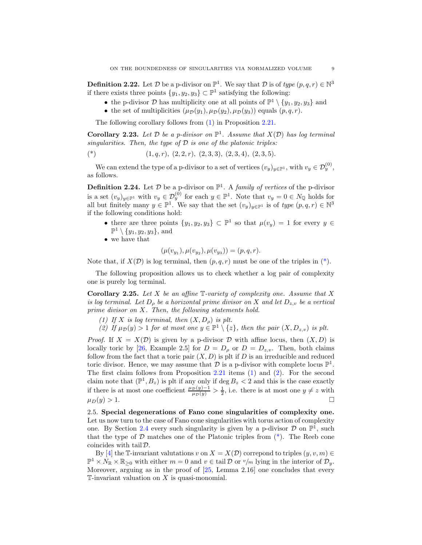**Definition 2.22.** Let  $D$  be a p-divisor on  $\mathbb{P}^1$ . We say that  $D$  is of type  $(p, q, r) \in \mathbb{N}^3$ if there exists three points  $\{y_1, y_2, y_3\} \subset \mathbb{P}^1$  satisfying the following:

- the p-divisor  $D$  has multiplicity one at all points of  $\mathbb{P}^1 \setminus \{y_1, y_2, y_3\}$  and
- the set of multiplicities  $(\mu_{\mathcal{D}}(y_1), \mu_{\mathcal{D}}(y_2), \mu_{\mathcal{D}}(y_3))$  equals  $(p, q, r)$ .

The following corollary follows from [\(1\)](#page-7-0) in Proposition [2.21.](#page-7-3)

**Corollary 2.23.** Let  $D$  be a p-divisor on  $\mathbb{P}^1$ . Assume that  $X(D)$  has log terminal singularities. Then, the type of  $D$  is one of the platonic triples:

<span id="page-8-0"></span>
$$
(*)\qquad \qquad (1,q,r),\ (2,2,r),\ (2,3,3),\ (2,3,4),\ (2,3,5).
$$

We can extend the type of a p-divisor to a set of vertices  $(v_y)_{y \in \mathbb{P}^1}$ , with  $v_y \in \mathcal{D}_y^{(0)}$ , as follows.

**Definition 2.24.** Let  $D$  be a p-divisor on  $\mathbb{P}^1$ . A *family of vertices* of the p-divisor is a set  $(v_y)_{y \in \mathbb{P}^1}$  with  $v_y \in \mathcal{D}_y^{(0)}$  for each  $y \in \mathbb{P}^1$ . Note that  $v_y = 0 \in N_{\mathbb{Q}}$  holds for all but finitely many  $y \in \mathbb{P}^1$ . We say that the set  $(v_y)_{y \in \mathbb{P}^1}$  is of type  $(p, q, r) \in \mathbb{N}^3$ if the following conditions hold:

- there are three points  $\{y_1, y_2, y_3\} \subset \mathbb{P}^1$  so that  $\mu(v_y) = 1$  for every  $y \in$  $\mathbb{P}^1 \setminus \{y_1, y_2, y_3\}$ , and
- we have that

$$
(\mu(v_{y_1}), \mu(v_{y_2}), \mu(v_{y_3})) = (p, q, r).
$$

Note that, if  $X(\mathcal{D})$  is log terminal, then  $(p, q, r)$  must be one of the triples in  $(*)$ .

The following proposition allows us to check whether a log pair of complexity one is purely log terminal.

<span id="page-8-1"></span>**Corollary 2.25.** Let X be an affine  $\mathbb{T}$ -variety of complexity one. Assume that X is log terminal. Let  $D_{\rho}$  be a horizontal prime divisor on X and let  $D_{z,v}$  be a vertical prime divisor on X. Then, the following statements hold.

- <span id="page-8-3"></span><span id="page-8-2"></span>(1) If X is log terminal, then  $(X, D<sub>o</sub>)$  is plt.
- (2) If  $\mu_{\mathcal{D}}(y) > 1$  for at most one  $y \in \mathbb{P}^1 \setminus \{z\}$ , then the pair  $(X, D_{z,v})$  is plt.

*Proof.* If  $X = X(D)$  is given by a p-divisor D with affine locus, then  $(X, D)$  is locally toric by [\[26,](#page-26-5) Example 2.5] for  $D = D_{\rho}$  or  $D = D_{z,v}$ . Then, both claims follow from the fact that a toric pair  $(X, D)$  is plt if D is an irreducible and reduced toric divisor. Hence, we may assume that  $D$  is a p-divisor with complete locus  $\mathbb{P}^1$ . The first claim follows from Proposition [2.21](#page-7-3) items [\(1\)](#page-7-0) and [\(2\)](#page-7-1). For the second claim note that  $(\mathbb{P}^1, B_z)$  is plt if any only if  $\deg B_z < 2$  and this is the case exactly if there is at most one coefficient  $\frac{\mu_{\mathcal{D}}(y)-1}{\mu_{\mathcal{D}}(y)} > \frac{1}{2}$ , i.e. there is at most one  $y \neq z$  with  $\mu_D(y) > 1.$ 

<span id="page-8-4"></span>2.5. Special degenerations of Fano cone singularities of complexity one. Let us now turn to the case of Fano cone singularities with torus action of complexity one. By Section [2.4](#page-5-1) every such singularity is given by a p-divisor  $\mathcal D$  on  $\mathbb P^1$ , such that the type of  $D$  matches one of the Platonic triples from  $(*)$ . The Reeb cone coincides with tail  $\mathcal{D}$ .

By [\[4\]](#page-25-1) the T-invariant valutations v on  $X = X(\mathcal{D})$  correspond to triples  $(y, v, m) \in$  $\mathbb{P}^1 \times N_{\mathbb{R}} \times \mathbb{R}_{\geq 0}$  with either  $m = 0$  and  $v \in \text{tail }\mathcal{D}$  or  $v/m$  lying in the interior of  $\mathcal{D}_y$ . Moreover, arguing as in the proof of [\[25,](#page-26-11) Lemma 2.16] one concludes that every  $\mathbb{T}$ -invariant valuation on X is quasi-monomial.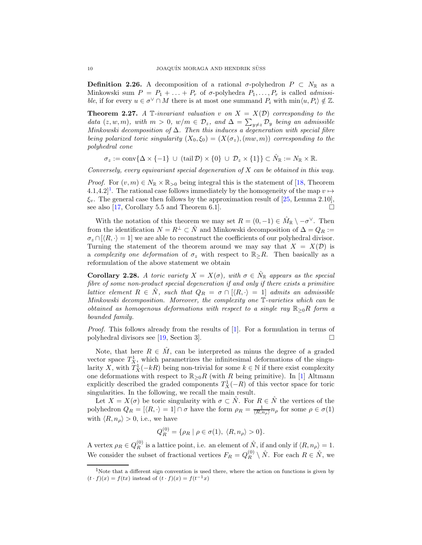**Definition 2.26.** A decomposition of a rational  $\sigma$ -polyhedron  $P \subset N_{\mathbb{R}}$  as a Minkowski sum  $P = P_1 + \ldots + P_r$  of  $\sigma$ -polyhedra  $P_1, \ldots, P_r$  is called *admissi*ble, if for every  $u \in \sigma^{\vee} \cap M$  there is at most one summand  $P_i$  with  $\min \langle u, P_i \rangle \notin \mathbb{Z}$ .

<span id="page-9-1"></span>**Theorem 2.27.** A T-invariant valuation v on  $X = X(D)$  corresponding to the data  $(z, w, m)$ , with  $m > 0$ ,  $w/m \in \mathcal{D}_z$ , and  $\Delta = \sum_{y \neq z} \mathcal{D}_y$  being an admissible Minkowski decomposition of  $\Delta$ . Then this induces a degeneration with special fibre being polarized toric singularity  $(X_0, \xi_0) = (X(\sigma_z), (mw, m))$  corresponding to the polyhedral cone

$$
\sigma_z := \operatorname{conv} \{ \Delta \times \{-1\} \ \cup \ (\operatorname{tail} \mathcal{D}) \times \{0\} \ \cup \ \mathcal{D}_z \times \{1\} \} \subset \hat{N}_{\mathbb{R}} := N_{\mathbb{R}} \times \mathbb{R}.
$$

Conversely, every equivariant special degeneration of X can be obtained in this way.

*Proof.* For  $(v, m) \in N_{\mathbb{R}} \times \mathbb{R}_{>0}$  being integral this is the statement of [\[18,](#page-25-17) Theorem 4.[1](#page-9-0),4.2<sup> $]$ </sup>. The rational case follows immediately by the homogeneity of the map  $v \mapsto$  $\xi_v$ . The general case then follows by the approximation result of [\[25,](#page-26-11) Lemma 2.10], see also [\[17,](#page-25-18) Corollary 5.5 and Theorem 6.1].

With the notation of this theorem we may set  $R = (0, -1) \in \hat{M}_{\mathbb{R}} \setminus -\sigma^{\vee}$ . Then from the identification  $N = R^{\perp} \subset \hat{N}$  and Minkowski decomposition of  $\Delta = Q_R :=$  $\sigma_z \cap [\langle R, \cdot \rangle = 1]$  we are able to reconstruct the coefficients of our polyhedral divisor. Turning the statement of the theorem around we may say that  $X = X(\mathcal{D})$  is a complexity one deformation of  $\sigma_z$  with respect to  $\mathbb{R}_{\geq}R$ . Then basically as a reformulation of the above statement we obtain

<span id="page-9-2"></span>**Corollary 2.28.** A toric variety  $X = X(\sigma)$ , with  $\sigma \in \hat{N}_{\mathbb{R}}$  appears as the special fibre of some non-product special degeneration if and only if there exists a primitive lattice element  $R \in \hat{N}$ , such that  $Q_R = \sigma \cap (\langle R, \cdot \rangle = 1]$  admits an admissible Minkowski decomposition. Moreover, the complexity one T-varieties which can be obtained as homogenous deformations with respect to a single ray  $\mathbb{R}_{\geq 0}R$  form a bounded family.

Proof. This follows already from the results of [\[1\]](#page-25-19). For a formulation in terms of polyhedral divisors see [\[19,](#page-25-20) Section 3].

Note, that here  $R \in \hat{M}$ , can be interpreted as minus the degree of a graded vector space  $T_X^1$ , which parametrizes the infinitesimal deformations of the singularity X, with  $T_X^1(-kR)$  being non-trivial for some  $k \in \mathbb{N}$  if there exist complexity one deformations with respect to  $\mathbb{R}_{\geq 0}R$  (with R being primitive). In [\[1\]](#page-25-19) Altmann explicitly described the graded components  $T_X^1(-R)$  of this vector space for toric singularities. In the following, we recall the main result.

Let  $X = X(\sigma)$  be toric singularity with  $\sigma \subset \tilde{N}$ . For  $R \in \tilde{N}$  the vertices of the polyhedron  $Q_R = [\langle R, \cdot \rangle = 1] \cap \sigma$  have the form  $\rho_R = \frac{1}{\langle R, n_\rho \rangle} n_\rho$  for some  $\rho \in \sigma(1)$ with  $\langle R, n_\rho \rangle > 0$ , i.e., we have

$$
Q_R^{(0)} = \{ \rho_R \mid \rho \in \sigma(1), \ \langle R, n_\rho \rangle > 0 \}.
$$

A vertex  $\rho_R \in Q_R^{(0)}$  is a lattice point, i.e. an element of  $\hat{N}$ , if and only if  $\langle R, n_\rho \rangle = 1$ . We consider the subset of fractional vertices  $F_R = Q_R^{(0)} \setminus \hat{N}$ . For each  $R \in \hat{N}$ , we

<span id="page-9-0"></span><sup>&</sup>lt;sup>1</sup>Note that a different sign convention is used there, where the action on functions is given by  $(t \cdot f)(x) = f(tx)$  instead of  $(t \cdot f)(x) = f(t^{-1}x)$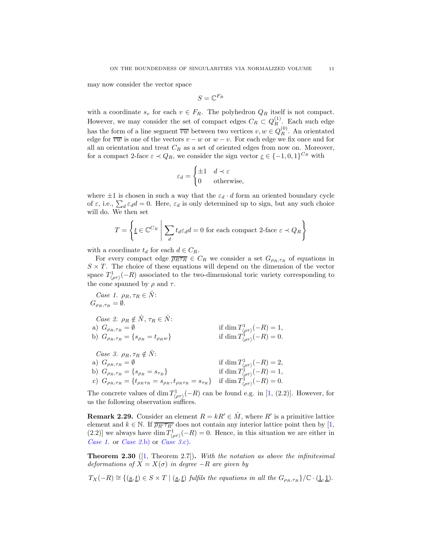may now consider the vector space

$$
S=\mathbb{C}^{F_R}
$$

with a coordinate  $s_v$  for each  $v \in F_R$ . The polyhedron  $Q_R$  itself is not compact. However, we may consider the set of compact edges  $C_R \subset Q_R^{(1)}$  $R^{(1)}$ . Each such edge has the form of a line segment  $\overline{vw}$  between two vertices  $v, w \in Q_R^{(0)}$ . An orientated edge for  $\overline{vw}$  is one of the vectors  $v - w$  or  $w - v$ . For each edge we fix once and for all an orientation and treat  $C_R$  as a set of oriented edges from now on. Moreover, for a compact 2-face  $\varepsilon \prec Q_R$ , we consider the sign vector  $\underline{\varepsilon} \in \{-1,0,1\}^{C_R}$  with

$$
\varepsilon_d = \begin{cases} \pm 1 & d \prec \varepsilon \\ 0 & \text{otherwise,} \end{cases}
$$

where  $\pm 1$  is chosen in such a way that the  $\varepsilon_d \cdot d$  form an oriented boundary cycle of  $\varepsilon$ , i.e.,  $\sum_{d} \varepsilon_{d} d = 0$ . Here,  $\varepsilon_{d}$  is only determined up to sign, but any such choice will do. We then set

$$
T = \left\{ \underline{t} \in \mathbb{C}^{C_R} \; \middle| \; \sum_d t_d \varepsilon_d d = 0 \text{ for each compact 2-face } \varepsilon \prec Q_R \right\}
$$

with a coordinate  $t_d$  for each  $d \in C_R$ .

For every compact edge  $\overline{\rho_R \tau_R} \in C_R$  we consider a set  $G_{\rho_R, \tau_R}$  of equations in  $S \times T$ . The choice of these equations will depend on the dimension of the vector space  $T^1_{\langle \rho \tau \rangle}(-R)$  associated to the two-dimensional toric variety corresponding to the cone spanned by  $\rho$  and  $\tau$ .

<span id="page-10-2"></span><span id="page-10-1"></span><span id="page-10-0"></span>Case 1. 
$$
\rho_R, \tau_R \in \hat{N}
$$
:  
\n $G_{\rho_R, \tau_R} = \emptyset$ .  
\nCase 2.  $\rho_R \notin \hat{N}, \tau_R \in \hat{N}$ :  
\na)  $G_{\rho_R, \tau_R} = \emptyset$  if  $\dim T^1_{\langle \rho \tau \rangle}(-R) = 1$ ,  
\nb)  $G_{\rho_R, \tau_R} = \{s_{\rho_R} = t_{\rho_R w}\}$  if  $\dim T^1_{\langle \rho \tau \rangle}(-R) = 0$ .  
\nCase 3.  $\rho_R, \tau_R \notin \hat{N}$ :  
\na)  $G_{\rho_R, \tau_R} = \emptyset$  if  $\dim T^1_{\langle \rho \tau \rangle}(-R) = 2$ ,  
\nb)  $G_{\rho_R, \tau_R} = \{s_{\rho_R} = s_{\tau_R}\}$  if  $\dim T^1_{\langle \rho \tau \rangle}(-R) = 1$ ,  
\nc)  $G_{\rho_R, \tau_R} = \{t_{\rho_R \tau_R} = s_{\rho_R}, t_{\rho_R \tau_R} = s_{\tau_R}\}$  if  $\dim T^1_{\langle \rho \tau \rangle}(-R) = 0$ .

<span id="page-10-4"></span><span id="page-10-3"></span>The concrete values of  $\dim T^1_{\langle \rho\tau\rangle}(-R)$  can be found e.g. in [\[1,](#page-25-19) (2.2)]. However, for us the following observation suffices.

<span id="page-10-6"></span>**Remark 2.29.** Consider an element  $R = kR' \in \hat{M}$ , where  $R'$  is a primitive lattice element and  $k \in \mathbb{N}$ . If  $\overline{\rho_{R'} \tau_{R'}}$  does not contain any interior lattice point then by [\[1,](#page-25-19) (2.2)] we always have  $\dim T^1_{\langle \rho \tau \rangle}(-R) = 0$ . Hence, in this situation we are either in [Case 1.](#page-10-0) or [Case 2.](#page-10-1)[b\)](#page-10-2) or [Case 3.](#page-10-3)[c\).](#page-10-4)

<span id="page-10-5"></span>**Theorem 2.30** ([\[1,](#page-25-19) Theorem 2.7]). With the notation as above the infinitesimal deformations of  $X = X(\sigma)$  in degree  $-R$  are given by

 $T_X(-R) \cong \{(\underline{s}, \underline{t}) \in S \times T \mid (\underline{s}, \underline{t}) \text{ fulfils the equations in all the } G_{\rho_R, \tau_R}\}/\mathbb{C} \cdot (\underline{1}, \underline{1}).$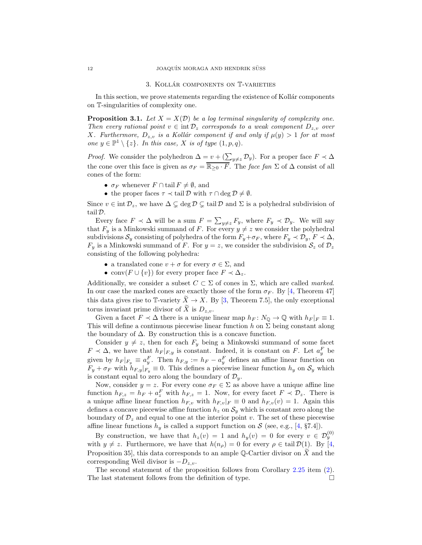#### 3. KOLLÁR COMPONENTS ON T-VARIETIES

<span id="page-11-0"></span>In this section, we prove statements regarding the existence of Kollár components on T-singularities of complexity one.

**Proposition 3.1.** Let  $X = X(D)$  be a log terminal singularity of complexity one. Then every rational point  $v \in \text{int } \mathcal{D}_z$  corresponds to a weak component  $D_{z,v}$  over X. Furthermore,  $D_{z,v}$  is a Kollár component if and only if  $\mu(y) > 1$  for at most one  $y \in \mathbb{P}^1 \setminus \{z\}$ . In this case, X is of type  $(1, p, q)$ .

*Proof.* We consider the polyhedron  $\Delta = v + (\sum_{y\neq z} \mathcal{D}_y)$ . For a proper face  $F \prec \Delta$ the cone over this face is given as  $\sigma_F = \overline{\mathbb{R}_{\geq 0} \cdot F}$ . The face fan  $\Sigma$  of  $\Delta$  consist of all cones of the form:

- $\sigma_F$  whenever  $F \cap \text{tail } F \neq \emptyset$ , and
- the proper faces  $\tau \prec \text{tail }\mathcal{D}$  with  $\tau \cap \text{deg }\mathcal{D} \neq \emptyset$ .

Since  $v \in \text{int } \mathcal{D}_z$ , we have  $\Delta \subsetneq \text{deg } \mathcal{D} \subsetneq \text{tail } \mathcal{D}$  and  $\Sigma$  is a polyhedral subdivision of tail D.

Every face  $F \prec \Delta$  will be a sum  $F = \sum_{y\neq z} F_y$ , where  $F_y \prec \mathcal{D}_y$ . We will say that  $F_y$  is a Minkowski summand of F. For every  $y \neq z$  we consider the polyhedral subdivisions  $S_y$  consisting of polyhedra of the form  $F_y+\sigma_F$ , where  $F_y \prec \mathcal{D}_y$ ,  $F \prec \Delta$ ,  $F_y$  is a Minkowski summand of F. For  $y = z$ , we consider the subdivision  $S_z$  of  $\mathcal{D}_z$ consisting of the following polyhedra:

- a translated cone  $v + \sigma$  for every  $\sigma \in \Sigma$ , and
- conv $(F \cup \{v\})$  for every proper face  $F \prec \Delta_z$ .

Additionally, we consider a subset  $C \subset \Sigma$  of cones in  $\Sigma$ , which are called *marked*. In our case the marked cones are exactly those of the form  $\sigma_F$ . By [\[4,](#page-25-1) Theorem 47] this data gives rise to T-variety  $\tilde{X} \to X$ . By [\[3,](#page-25-3) Theorem 7.5], the only exceptional torus invariant prime divisor of X is  $D_{z,v}$ .

Given a facet  $F \prec \Delta$  there is a unique linear map  $h_F \colon N_{\mathbb{Q}} \to \mathbb{Q}$  with  $h_F |_F \equiv 1$ . This will define a continuous piecewise linear function  $h$  on  $\Sigma$  being constant along the boundary of  $\Delta$ . By construction this is a concave function.

Consider  $y \neq z$ , then for each  $F_y$  being a Minkowski summand of some facet  $F \prec \Delta$ , we have that  $h_F|_{F,y}$  is constant. Indeed, it is constant on F. Let  $a_y^F$  be given by  $h_F |_{F_y} \equiv a_y^F$ . Then  $h_{F,y} := h_F - a_y^F$  defines an affine linear function on  $F_y + \sigma_F$  with  $h_{F,y}|_{F_y} \equiv 0$ . This defines a piecewise linear function  $h_y$  on  $S_y$  which is constant equal to zero along the boundary of  $\mathcal{D}_y$ .

Now, consider  $y = z$ . For every cone  $\sigma_F \in \Sigma$  as above have a unique affine line function  $h_{F,z} = h_F + a_z^F$  with  $h_{F,z} = 1$ . Now, for every facet  $F \prec \mathcal{D}_z$ . There is a unique affine linear function  $h_{F,v}$  with  $h_{F,v}|_F \equiv 0$  and  $h_{F,v}(v) = 1$ . Again this defines a concave piecewise affine function  $h_z$  on  $S_y$  which is constant zero along the boundary of  $\mathcal{D}_z$  and equal to one at the interior point v. The set of these piecewise affine linear functions  $h_y$  is called a support function on S (see, e.g., [\[4,](#page-25-1) §7.4]).

By construction, we have that  $h_z(v) = 1$  and  $h_y(v) = 0$  for every  $v \in \mathcal{D}_y^{(0)}$ with  $y \neq z$ . Furthermore, we have that  $h(n_{\rho}) = 0$  for every  $\rho \in \text{tail } \mathcal{D}(1)$ . By [\[4,](#page-25-1) Proposition 35, this data corresponds to an ample Q-Cartier divisor on  $\tilde{X}$  and the corresponding Weil divisor is  $-D_{z,v}$ .

The second statement of the proposition follows from Corollary [2.25](#page-8-1) item [\(2\)](#page-8-2). The last statement follows from the definition of type.  $\Box$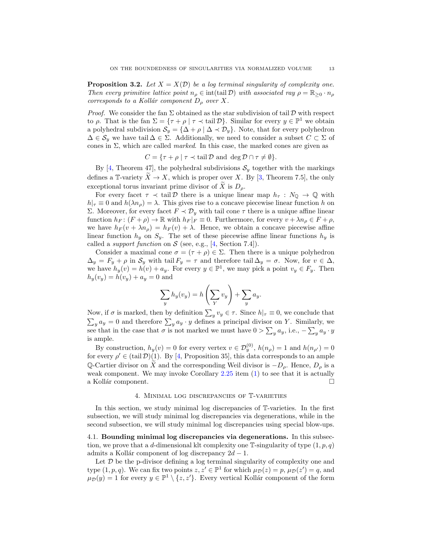<span id="page-12-2"></span>**Proposition 3.2.** Let  $X = X(D)$  be a log terminal singularity of complexity one. Then every primitive lattice point  $n_{\rho} \in \text{int}(\text{tail }\mathcal{D})$  with associated ray  $\rho = \mathbb{R}_{\geq 0} \cdot n_{\rho}$ corresponds to a Kollár component  $D_{\rho}$  over X.

*Proof.* We consider the fan  $\Sigma$  obtained as the star subdivision of tail  $D$  with respect to  $\rho$ . That is the fan  $\Sigma = {\tau + \rho \mid \tau \prec \text{tail }\mathcal{D}}$ . Similar for every  $y \in \mathbb{P}^1$  we obtain a polyhedral subdivision  $S_y = {\Delta + \rho | \Delta \prec \mathcal{D}_y}.$  Note, that for every polyhedron  $\Delta \in \mathcal{S}_y$  we have tail  $\Delta \in \mathcal{S}$ . Additionally, we need to consider a subset  $C \subset \Sigma$  of cones in  $\Sigma$ , which are called *marked*. In this case, the marked cones are given as

$$
C = \{ \tau + \rho \mid \tau \prec \text{tail } \mathcal{D} \text{ and } \deg \mathcal{D} \cap \tau \neq \emptyset \}.
$$

By [\[4,](#page-25-1) Theorem 47], the polyhedral subdivisions  $S_y$  together with the markings defines a T-variety  $\tilde{X} \to X$ , which is proper over X. By [\[3,](#page-25-3) Theorem 7.5], the only exceptional torus invariant prime divisor of X is  $D_{\rho}$ .

For every facet  $\tau \prec \text{tail }\mathcal{D}$  there is a unique linear map  $h_{\tau}: N_{\mathbb{Q}} \to \mathbb{Q}$  with  $h|_{\tau} \equiv 0$  and  $h(\lambda n_{\rho}) = \lambda$ . This gives rise to a concave piecewise linear function h on Σ. Moreover, for every facet  $F ∠ D<sub>y</sub>$  with tail cone τ there is a unique affine linear function  $h_F$ :  $(F + \rho) \to \mathbb{R}$  with  $h_F|_F \equiv 0$ . Furthermore, for every  $v + \lambda n_\rho \in F + \rho$ , we have  $h_F(v + \lambda n_\rho) = h_F(v) + \lambda$ . Hence, we obtain a concave piecewise affine linear function  $h_y$  on  $S_y$ . The set of these piecewise affine linear functions  $h_y$  is called a *support function* on  $S$  (see, e.g., [\[4,](#page-25-1) Section 7.4]).

Consider a maximal cone  $\sigma = (\tau + \rho) \in \Sigma$ . Then there is a unique polyhedron  $\Delta_y = F_y + \rho$  in  $\mathcal{S}_y$  with tail  $F_y = \tau$  and therefore tail  $\Delta_y = \sigma$ . Now, for  $v \in \Delta$ , we have  $h_y(v) = h(v) + a_y$ . For every  $y \in \mathbb{P}^1$ , we may pick a point  $v_y \in F_y$ . Then  $h_y(v_y) = h(v_y) + a_y = 0$  and

$$
\sum_{y} h_y(v_y) = h\left(\sum_{Y} v_y\right) + \sum_{y} a_y.
$$

Now, if  $\sigma$  is marked, then by definition  $\sum_{y} v_y \in \tau$ . Since  $h|_{\tau} \equiv 0$ , we conclude that  $\sum_{y} a_y = 0$  and therefore  $\sum_{y} a_y \cdot y$  defines a principal divisor on Y. Similarly, we see that in the case that  $\sigma$  is not marked we must have  $0 > \sum_{y} a_y$ , i.e.,  $-\sum_{y} a_y \cdot y$ is ample.

By construction,  $h_y(v) = 0$  for every vertex  $v \in \mathcal{D}_y^{(0)}$ ,  $h(n_\rho) = 1$  and  $h(n_{\rho'}) = 0$ for every  $\rho' \in (tail \mathcal{D})(1)$ . By [\[4,](#page-25-1) Proposition 35], this data corresponds to an ample Q-Cartier divisor on  $\widetilde{X}$  and the corresponding Weil divisor is  $-D_{\rho}$ . Hence,  $D_{\rho}$  is a weak component. We may invoke Corollary [2.25](#page-8-1) item [\(1\)](#page-8-3) to see that it is actually a Kollár component.  $\Box$ 

#### 4. Minimal log discrepancies of T-varieties

<span id="page-12-0"></span>In this section, we study minimal log discrepancies of T-varieties. In the first subsection, we will study minimal log discrepancies via degenerations, while in the second subsection, we will study minimal log discrepancies using special blow-ups.

<span id="page-12-1"></span>4.1. Bounding minimal log discrepancies via degenerations. In this subsection, we prove that a d-dimensional klt complexity one  $\mathbb{T}\text{-singularity}$  of type  $(1, p, q)$ admits a Kollár component of log discrepancy  $2d - 1$ .

Let  $D$  be the p-divisor defining a log terminal singularity of complexity one and type  $(1, p, q)$ . We can fix two points  $z, z' \in \mathbb{P}^1$  for which  $\mu_{\mathcal{D}}(z) = p$ ,  $\mu_{\mathcal{D}}(z') = q$ , and  $\mu_{\mathcal{D}}(y) = 1$  for every  $y \in \mathbb{P}^1 \setminus \{z, z'\}$ . Every vertical Kollár component of the form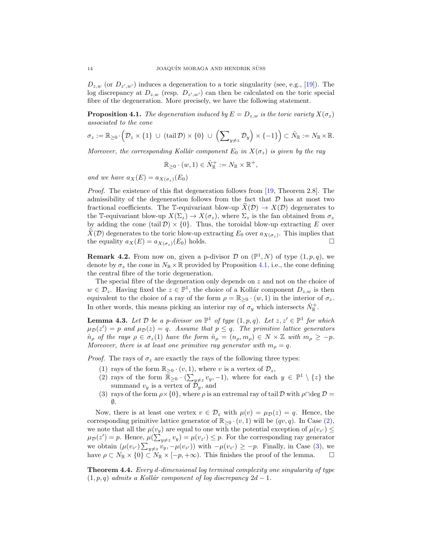$D_{z,w}$  (or  $D_{z',w'}$ ) induces a degeneration to a toric singularity (see, e.g., [\[19\]](#page-25-20)). The log discrepancy at  $D_{z,w}$  (resp.  $D_{z',w'}$ ) can then be calculated on the toric special fibre of the degeneration. More precisely, we have the following statement.

<span id="page-13-0"></span>**Proposition 4.1.** The degeneration induced by  $E = D_{z,w}$  is the toric variety  $X(\sigma_z)$ associated to the cone

$$
\sigma_z := \mathbb{R}_{\geq 0} \cdot \left( \mathcal{D}_z \times \{1\} \ \cup \ (\text{tail}\,\mathcal{D}) \times \{0\} \ \cup \ \left( \sum_{y \neq z} \mathcal{D}_y \right) \times \{-1\} \right) \subset \hat{N}_{\mathbb{R}} := N_{\mathbb{R}} \times \mathbb{R}.
$$

Moreover, the corresponding Kollár component  $E_0$  in  $X(\sigma_z)$  is given by the ray

$$
\mathbb{R}_{\geq 0} \cdot (w, 1) \in \hat{N}_{\mathbb{R}}^+ := N_{\mathbb{R}} \times \mathbb{R}^+,
$$

and we have  $a_X(E) = a_{X(\sigma_x)}(E_0)$ 

Proof. The existence of this flat degeneration follows from [\[19,](#page-25-20) Theorem 2.8]. The admissibility of the degeneration follows from the fact that  $D$  has at most two fractional coefficients. The T-equivariant blow-up  $\widetilde{X}(\mathcal{D}) \to X(\mathcal{D})$  degenerates to the T-equivariant blow-up  $X(\Sigma_z) \to X(\sigma_z)$ , where  $\Sigma_z$  is the fan obtained from  $\sigma_z$ by adding the cone (tail  $\mathcal{D} \times \{0\}$ . Thus, the toroidal blow-up extracting E over  $X(\mathcal{D})$  degenerates to the toric blow-up extracting  $E_0$  over  $a_{X(\sigma_z)}$ . This implies that the equality  $a_X(E) = a_{X(\sigma_z)}(E_0)$  holds.

<span id="page-13-3"></span>**Remark 4.2.** From now on, given a p-divisor  $\mathcal{D}$  on  $(\mathbb{P}^1, N)$  of type  $(1, p, q)$ , we denote by  $\sigma_z$  the cone in  $N_{\mathbb{R}} \times \mathbb{R}$  provided by Proposition [4.1,](#page-13-0) i.e., the cone defining the central fibre of the toric degeneration.

The special fibre of the degeneration only depends on  $z$  and not on the choice of  $w \in \mathcal{D}_z$ . Having fixed the  $z \in \mathbb{P}^1$ , the choice of a Kollár component  $D_{z,w}$  is then equivalent to the choice of a ray of the form  $\rho = \mathbb{R}_{\geq 0} \cdot (w, 1)$  in the interior of  $\sigma_z$ . In other words, this means picking an interior ray of  $\sigma_y$  which intersects  $\hat{N}_{\mathbb{R}}^+$ .

<span id="page-13-4"></span>**Lemma 4.3.** Let  $D$  be a p-divisor on  $\mathbb{P}^1$  of type  $(1, p, q)$ . Let  $z, z' \in \mathbb{P}^1$  for which  $\mu_{\mathcal{D}}(z') = p$  and  $\mu_{\mathcal{D}}(z) = q$ . Assume that  $p \leq q$ . The primitive lattice generators  $\hat{n}_{\rho}$  of the rays  $\rho \in \sigma_z(1)$  have the form  $\hat{n}_{\rho} = (n_{\rho}, m_{\rho}) \in N \times \mathbb{Z}$  with  $m_{\rho} \ge -p$ . Moreover, there is at least one primitive ray generator with  $m_{\rho} = q$ .

*Proof.* The rays of  $\sigma_z$  are exactly the rays of the following three types:

- <span id="page-13-1"></span>(1) rays of the form  $\mathbb{R}_{>0} \cdot (v, 1)$ , where v is a vertex of  $\mathcal{D}_z$ ,
- (2) rays of the form  $\mathbb{R}_{\geq 0} \cdot (\sum_{y\neq z} v_y, -1)$ , where for each  $y \in \mathbb{P}^1 \setminus \{z\}$  the summand  $v_y$  is a vertex of  $\mathcal{D}_y$ , and
- <span id="page-13-2"></span>(3) rays of the form  $\rho \times \{0\}$ , where  $\rho$  is an extremal ray of tail D with  $\rho \cap \text{deg } D =$ ∅.

Now, there is at least one vertex  $v \in \mathcal{D}_z$  with  $\mu(v) = \mu_{\mathcal{D}}(z) = q$ . Hence, the corresponding primitive lattice generator of  $\mathbb{R}_{\geq 0} \cdot (v, 1)$  will be  $(qv, q)$ . In Case [\(2\)](#page-13-1), we note that all the  $\mu(v_y)$  are equal to one with the potential exception of  $\mu(v_{z'}) \leq$  $\mu_{\mathcal{D}}(z') = p$ . Hence,  $\mu(\sum_{y \neq z} v_y) = \mu(v_{z'}) \leq p$ . For the corresponding ray generator we obtain  $(\mu(v_{z'})\sum_{y\neq z}v_{y},-\mu(v_{z'}))$  with  $-\mu(v_{z'})\geq -p$ . Finally, in Case [\(3\)](#page-13-2), we have  $\rho \subset N_{\mathbb{R}} \times \{0\} \subset N_{\mathbb{R}} \times [-p, +\infty)$ . This finishes the proof of the lemma.  $\square$ 

<span id="page-13-5"></span>Theorem 4.4. Every d-dimensional log terminal complexity one singularity of type  $(1, p, q)$  admits a Kollár component of log discrepancy  $2d - 1$ .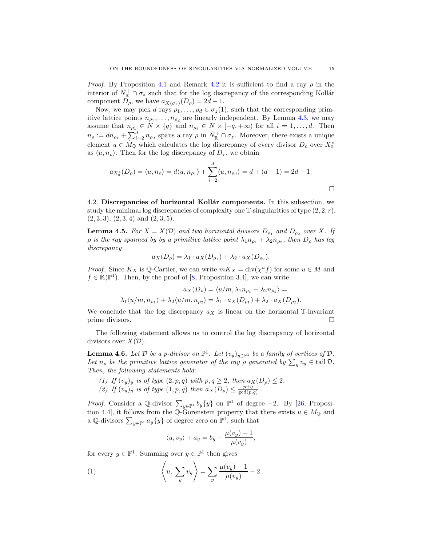*Proof.* By Proposition [4.1](#page-13-0) and Remark [4.2](#page-13-3) it is sufficient to find a ray  $\rho$  in the interior of  $\hat{N}_{\mathbb{R}}^+ \cap \sigma_z$  such that for the log discrepancy of the corresponding Kollár component  $D_\rho$ , we have  $a_{X(\sigma_z)}(D_\rho) = 2d - 1$ .

Now, we may pick d rays  $\rho_1, \ldots, \rho_d \in \sigma_z(1)$ , such that the corresponding primitive lattice points  $n_{\rho_1}, \ldots, n_{\rho_d}$  are linearly independent. By Lemma [4.3,](#page-13-4) we may assume that  $n_{\rho_1} \in N \times \{q\}$  and  $n_{\rho_i} \in N \times [-q, +\infty)$  for all  $i = 1, \ldots, d$ . Then  $n_{\rho} := dn_{\rho_1} + \sum_{i=2}^d n_{\rho_d}$  spans a ray  $\rho$  in  $\hat{N}_{\mathbb{R}}^+ \cap \sigma_z$ . Moreover, there exists a unique element  $u \in \hat{M}_{\mathbb{Q}}$  which calculates the log discrepancy of every divisor  $D_{\rho}$  over  $X_0^z$ as  $\langle u, n_{\rho} \rangle$ . Then for the log discrepancy of  $D_{\tau}$ , we obtain

$$
a_{X_0^z}(D_\rho) = \langle u, n_\rho \rangle = d\langle u, n_{\rho_1} \rangle + \sum_{i=2}^d \langle u, n_{\rho_d} \rangle = d + (d-1) = 2d - 1.
$$

<span id="page-14-0"></span>4.2. Discrepancies of horizontal Kollár components. In this subsection, we study the minimal log discrepancies of complexity one  $\mathbb{T}$ -singularities of type  $(2, 2, r)$ ,  $(2, 3, 3), (2, 3, 4)$  and  $(2, 3, 5)$ .

<span id="page-14-4"></span>**Lemma 4.5.** For  $X = X(D)$  and two horizontal divisors  $D_{\rho_1}$  and  $D_{\rho_2}$  over X. If  $\rho$  is the ray spanned by by a primitive lattice point  $\lambda_1 n_{\rho_1} + \lambda_2 n_{\rho_2}$ , then  $D_\rho$  has log discrepancy

$$
a_X(D_\rho) = \lambda_1 \cdot a_X(D_{\rho_1}) + \lambda_2 \cdot a_X(D_{\rho_2}).
$$

*Proof.* Since  $K_X$  is Q-Cartier, we can write  $mK_X = \text{div}(\chi^u f)$  for some  $u \in M$  and  $f \in \mathbb{K}(\mathbb{P}^1)$ . Then, by the proof of [\[8,](#page-25-16) Proposition 3.4], we can write

$$
a_X(D_\rho) = \langle u/m, \lambda_1 n_{\rho_1} + \lambda_2 n_{\rho_2} \rangle =
$$
  

$$
\lambda_1 \langle u/m, n_{\rho_1} \rangle + \lambda_2 \langle u/m, n_{\rho_2} \rangle = \lambda_1 \cdot a_X(D_{\rho_1}) + \lambda_2 \cdot a_X(D_{\rho_2}).
$$

We conclude that the log discrepancy  $a_X$  is linear on the horizontal T-invariant prime divisors.

The following statement allows us to control the log discrepancy of horizontal divisors over  $X(D)$ .

<span id="page-14-3"></span>**Lemma 4.6.** Let  $D$  be a p-divisor on  $\mathbb{P}^1$ . Let  $(v_y)_{y \in \mathbb{P}^1}$  be a family of vertices of  $D$ . Let  $n_{\rho}$  be the primitive lattice generator of the ray  $\rho$  generated by  $\sum_{y} v_y \in \text{tail }\mathcal{D}$ . Then, the following statements hold:

<span id="page-14-1"></span>(1) If  $(v_y)_y$  is of type  $(2, p, q)$  with  $p, q \geq 2$ , then  $a_X(D_\rho) \leq 2$ . (2) If  $(v_y)_y$  is of type  $(1, p, q)$  then  $a_X(D_\rho) \leq \frac{p+q}{\gcd(p,q)}$ .

*Proof.* Consider a Q-divisor  $\sum_{y \in \mathbb{P}^1} b_y \{y\}$  on  $\mathbb{P}^1$  of degree -2. By [\[26,](#page-26-5) Proposition 4.4], it follows from the Q-Gorenstein property that there exists  $u \in M_{\mathbb{Q}}$  and a Q-divisors  $\sum_{y \in \mathbb{P}^1} a_y \{y\}$  of degree zero on  $\mathbb{P}^1$ , such that

<span id="page-14-2"></span>
$$
\langle u, v_y \rangle + a_y = b_y + \frac{\mu(v_y) - 1}{\mu(v_y)},
$$

for every  $y \in \mathbb{P}^1$ . Summing over  $y \in \mathbb{P}^1$  then gives

(1) 
$$
\left\langle u, \sum_{y} v_y \right\rangle = \sum_{y} \frac{\mu(v_y) - 1}{\mu(v_y)} - 2.
$$

 $\Box$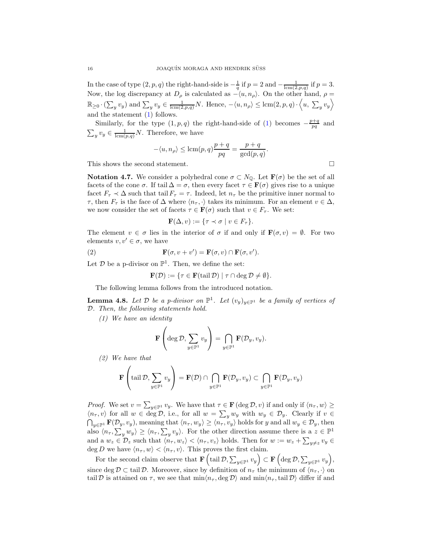In the case of type  $(2, p, q)$  the right-hand-side is  $-\frac{1}{q}$  if  $p = 2$  and  $-\frac{1}{\text{lcm}(2, p, q)}$  if  $p = 3$ . Now, the log discrepancy at  $D_{\rho}$  is calculated as  $-\langle u, n_{\rho}\rangle$ . On the other hand,  $\rho =$  $\mathbb{R}_{\geq 0} \cdot (\sum_y v_y)$  and  $\sum_y v_y \in \frac{1}{\text{Icm}(2,p,q)}N$ . Hence,  $-\langle u, n_\rho \rangle \leq \text{lcm}(2,p,q) \cdot \langle u, \sum_y v_y \rangle$ and the statement [\(1\)](#page-14-1) follows.

Similarly, for the type  $(1, p, q)$  the right-hand-side of [\(1\)](#page-14-2) becomes  $-\frac{p+q}{pq}$  and  $\sum_{y} v_y \in \frac{1}{\text{lcm}(p,q)}N$ . Therefore, we have

$$
-\langle u, n_{\rho} \rangle \leq \operatorname{lcm}(p, q) \frac{p+q}{pq} = \frac{p+q}{\operatorname{gcd}(p, q)}.
$$

This shows the second statement.

**Notation 4.7.** We consider a polyhedral cone  $\sigma \subset N_{\mathbb{Q}}$ . Let  $\mathbf{F}(\sigma)$  be the set of all facets of the cone  $\sigma$ . If tail  $\Delta = \sigma$ , then every facet  $\tau \in \mathbf{F}(\sigma)$  gives rise to a unique facet  $F_{\tau} \prec \Delta$  such that tail  $F_{\tau} = \tau$ . Indeed, let  $n_{\tau}$  be the primitive inner normal to  $\tau$ , then  $F_{\tau}$  is the face of  $\Delta$  where  $\langle n_{\tau}, \cdot \rangle$  takes its minimum. For an element  $v \in \Delta$ , we now consider the set of facets  $\tau \in \mathbf{F}(\sigma)$  such that  $v \in F_{\tau}$ . We set:

$$
\mathbf{F}(\Delta, v) := \{ \tau \prec \sigma \mid v \in F_{\tau} \}.
$$

The element  $v \in \sigma$  lies in the interior of  $\sigma$  if and only if  $\mathbf{F}(\sigma, v) = \emptyset$ . For two elements  $v, v' \in \sigma$ , we have

(2) 
$$
\mathbf{F}(\sigma, v + v') = \mathbf{F}(\sigma, v) \cap \mathbf{F}(\sigma, v').
$$

Let  $\mathcal D$  be a p-divisor on  $\mathbb P^1$ . Then, we define the set:

$$
\mathbf{F}(\mathcal{D}) := \{ \tau \in \mathbf{F}(\text{tail }\mathcal{D}) \mid \tau \cap \deg \mathcal{D} \neq \emptyset \}.
$$

The following lemma follows from the introduced notation.

<span id="page-15-0"></span>**Lemma 4.8.** Let  $D$  be a p-divisor on  $\mathbb{P}^1$ . Let  $(v_y)_{y \in \mathbb{P}^1}$  be a family of vertices of D. Then, the following statements hold.

(1) We have an identity

$$
\mathbf{F}\left(\deg \mathcal{D}, \sum_{y \in \mathbb{P}^1} v_y\right) = \bigcap_{y \in \mathbb{P}^1} \mathbf{F}(\mathcal{D}_y, v_y).
$$

<span id="page-15-1"></span>(2) We have that

$$
\mathbf{F}\left(\mathrm{tail}\,\mathcal{D},\sum_{y\in\mathbb{P}^1}v_y\right)=\mathbf{F}(\mathcal{D})\cap\bigcap_{y\in\mathbb{P}^1}\mathbf{F}(\mathcal{D}_y,v_y)\subset\bigcap_{y\in\mathbb{P}^1}\mathbf{F}(\mathcal{D}_y,v_y)
$$

*Proof.* We set  $v = \sum_{y \in \mathbb{P}^1} v_y$ . We have that  $\tau \in \mathbf{F}$  (deg  $\mathcal{D}, v$ ) if and only if  $\langle n_{\tau}, w \rangle \ge$  $\langle n_{\tau}, v \rangle$  for all  $w \in \deg \mathcal{D}$ , i.e., for all  $w = \sum_{y} w_{y}$  with  $w_{y} \in \mathcal{D}_{y}$ . Clearly if  $v \in$  $\bigcap_{y\in\mathbb{P}^1} \mathbf{F}(\mathcal{D}_y, v_y)$ , meaning that  $\langle n_\tau, w_y \rangle \ge \langle n_\tau, v_y \rangle$  holds for y and all  $w_y \in \mathcal{D}_y$ , then also  $\langle n_{\tau}, \sum_{y} w_{y} \rangle \ge \langle n_{\tau}, \sum_{y} v_{y} \rangle$ . For the other direction assume there is a  $z \in \mathbb{P}^{1}$ and a  $w_z \in \mathcal{D}_z$  such that  $\langle n_{\tau}, w_z \rangle < \langle n_{\tau}, v_z \rangle$  holds. Then for  $w := w_z + \sum_{y \neq z} v_y \in$ deg D we have  $\langle n_{\tau}, w \rangle < \langle n_{\tau}, v \rangle$ . This proves the first claim.

For the second claim observe that  $\mathbf{F}\left(\text{tail }\mathcal{D},\sum_{y\in\mathbb{P}^1}v_y\right)\subset\mathbf{F}\left(\text{deg }\mathcal{D},\sum_{y\in\mathbb{P}^1}v_y\right),$ since deg  $\mathcal{D} \subset \text{tail } \mathcal{D}$ . Moreover, since by definition of  $n_{\tau}$  the minimum of  $\langle n_{\tau}, \cdot \rangle$  on tail D is attained on  $\tau$ , we see that  $\min\langle n_{\tau}, \deg \mathcal{D} \rangle$  and  $\min\langle n_{\tau}, \mathrm{tail} \mathcal{D} \rangle$  differ if and

$$
\qquad \qquad \Box
$$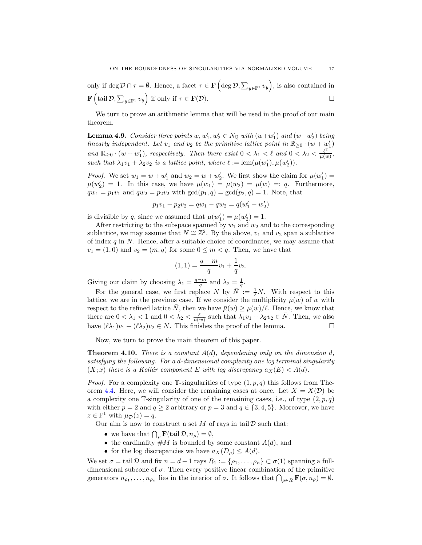only if  $\deg \mathcal{D} \cap \tau = \emptyset$ . Hence, a facet  $\tau \in \mathbf{F} \left( \deg \mathcal{D}, \sum_{y \in \mathbb{P}^1} v_y \right)$ , is also contained in  $\mathbf{F}\left(\text{tail }\mathcal{D},\sum_{y\in\mathbb{P}^1}v_y\right)$  if only if  $\tau\in\mathbf{F}(\mathcal{D}).$ 

We turn to prove an arithmetic lemma that will be used in the proof of our main theorem.

<span id="page-16-0"></span>**Lemma 4.9.** Consider three points  $w, w'_1, w'_2 \in N_{\mathbb{Q}}$  with  $(w+w'_1)$  and  $(w+w'_2)$  being linearly independent. Let  $v_1$  and  $v_2$  be the primitive lattice point in  $\mathbb{R}_{\geq 0} \cdot (w + w'_1)$ and  $\mathbb{R}_{\geq 0} \cdot (w+w'_1)$ , respectively. Then there exist  $0 < \lambda_1 < \ell$  and  $0 < \lambda_2 < \frac{\ell^2}{\mu(w)}$  $\frac{\ell^2}{\mu(w)},$ such that  $\lambda_1 v_1 + \lambda_2 v_2$  is a lattice point, where  $\ell := \text{lcm}(\mu(w_1'), \mu(w_2')).$ 

*Proof.* We set  $w_1 = w + w'_1$  and  $w_2 = w + w'_2$ . We first show the claim for  $\mu(w'_1) =$  $\mu(w'_2) = 1$ . In this case, we have  $\mu(w_1) = \mu(w_2) = \mu(w) =: q$ . Furthermore,  $qw_1 = p_1v_1$  and  $qw_2 = p_2v_2$  with  $gcd(p_1, q) = gcd(p_2, q) = 1$ . Note, that

$$
p_1v_1 - p_2v_2 = qw_1 - qw_2 = q(w'_1 - w'_2)
$$

is divisible by q, since we assumed that  $\mu(w'_1) = \mu(w'_2) = 1$ .

After restricting to the subspace spanned by  $w_1$  and  $w_2$  and to the corresponding sublattice, we may assume that  $N \cong \mathbb{Z}^2$ . By the above,  $v_1$  and  $v_2$  span a sublattice of index  $q$  in  $N$ . Hence, after a suitable choice of coordinates, we may assume that  $v_1 = (1,0)$  and  $v_2 = (m,q)$  for some  $0 \leq m < q$ . Then, we have that

$$
(1,1) = \frac{q-m}{q}v_1 + \frac{1}{q}v_2.
$$

Giving our claim by choosing  $\lambda_1 = \frac{q-m}{q}$  and  $\lambda_2 = \frac{1}{q}$ .

For the general case, we first replace N by  $\overline{N} := \frac{1}{\ell}N$ . With respect to this lattice, we are in the previous case. If we consider the multiplicity  $\bar{\mu}(w)$  of w with respect to the refined lattice N, then we have  $\bar{\mu}(w) \geq \mu(w)/\ell$ . Hence, we know that there are  $0 < \lambda_1 < 1$  and  $0 < \lambda_2 < \frac{\ell}{\mu(w)}$  such that  $\lambda_1 v_1 + \lambda_2 v_2 \in \overline{N}$ . Then, we also have  $(\ell \lambda_1)v_1 + (\ell \lambda_2)v_2 \in N$ . This finishes the proof of the lemma.

Now, we turn to prove the main theorem of this paper.

<span id="page-16-1"></span>**Theorem 4.10.** There is a constant  $A(d)$ , dependening only on the dimension d, satisfying the following. For a d-dimensional complexity one log terminal singularity  $(X; x)$  there is a Kollár component E with log discrepancy  $a_X(E) < A(d)$ .

*Proof.* For a complexity one T-singularities of type  $(1, p, q)$  this follows from The-orem [4.4.](#page-13-5) Here, we will consider the remaining cases at once. Let  $X = X(\mathcal{D})$  be a complexity one T-singularity of one of the remaining cases, i.e., of type  $(2, p, q)$ with either  $p = 2$  and  $q \ge 2$  arbitrary or  $p = 3$  and  $q \in \{3, 4, 5\}$ . Moreover, we have  $z \in \mathbb{P}^1$  with  $\mu_{\mathcal{D}}(z) = q$ .

Our aim is now to construct a set  $M$  of rays in tail  $D$  such that:

- we have that  $\bigcap_{\rho} \mathbf{F}(\text{tail } \mathcal{D}, n_{\rho}) = \emptyset$ ,
- the cardinality  $#M$  is bounded by some constant  $A(d)$ , and
- for the log discrepancies we have  $a_X(D_\rho) \leq A(d)$ .

We set  $\sigma = \text{tail }\mathcal{D}$  and fix  $n = d - 1$  rays  $R_1 := \{\rho_1, \ldots, \rho_n\} \subset \sigma(1)$  spanning a fulldimensional subcone of  $\sigma$ . Then every positive linear combination of the primitive generators  $n_{\rho_1}, \ldots, n_{\rho_n}$  lies in the interior of  $\sigma$ . It follows that  $\bigcap_{\rho \in R} \mathbf{F}(\sigma, n_\rho) = \emptyset$ .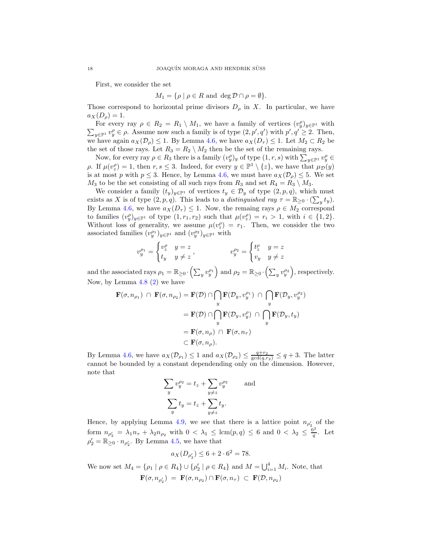First, we consider the set

$$
M_1 = \{ \rho \mid \rho \in R \text{ and } \deg \mathcal{D} \cap \rho = \emptyset \}.
$$

Those correspond to horizontal prime divisors  $D_{\rho}$  in X. In particular, we have  $a_X(D_\rho) = 1.$ 

For every ray  $\rho \in R_2 = R_1 \setminus M_1$ , we have a family of vertices  $(v_y^{\rho})_{y \in \mathbb{P}^1}$  with For every lay  $p \in R_2 = R_1 \setminus M_1$ , we have a family of vertices  $(v_{ij})_{y \in \mathbb{P}^1}$  with  $\sum_{y \in \mathbb{P}^1} v_y^{\rho} \in \rho$ . Assume now such a family is of type  $(2, p', q')$  with  $p', q' \ge 2$ . Then, we have again  $a_X(\mathcal{D}_\rho) \leq 1$ . By Lemma [4.6,](#page-14-3) we have  $a_X(D_\tau) \leq 1$ . Let  $M_2 \subset R_2$  be the set of those rays. Let  $R_3 = R_2 \setminus M_2$  then be the set of the remaining rays.

Now, for every ray  $\rho \in R_3$  there is a family  $(v_y^{\rho})_y$  of type  $(1, r, s)$  with  $\sum_{y \in \mathbb{P}^1} v_y^{\rho} \in$ ρ. If  $\mu(v_z^{\rho}) = 1$ , then  $r, s \leq 3$ . Indeed, for every  $y \in \mathbb{P}^1 \setminus \{z\}$ , we have that  $\mu_{\mathcal{D}}(y)$ is at most p with  $p \leq 3$ . Hence, by Lemma [4.6,](#page-14-3) we must have  $a_X(\mathcal{D}_\rho) \leq 5$ . We set  $M_3$  to be the set consisting of all such rays from  $R_3$  and set  $R_4 = R_3 \setminus M_3$ .

We consider a family  $(t_y)_{y\in\mathbb{P}^1}$  of vertices  $t_y \in \mathcal{D}_y$  of type  $(2, p, q)$ , which must exists as X is of type  $(2, p, q)$ . This leads to a *distinguished ray*  $\tau = \mathbb{R}_{\geq 0} \cdot (\sum_y t_y)$ . By Lemma [4.6,](#page-14-3) we have  $a_X(D_\tau) \leq 1$ . Now, the remaing rays  $\rho \in M_2$  correspond to families  $(v_y^{\rho})_{y \in \mathbb{P}^1}$  of type  $(1, r_1, r_2)$  such that  $\mu(v_z^{\rho}) = r_i > 1$ , with  $i \in \{1, 2\}$ . Without loss of generality, we assume  $\mu(v_z^{\rho}) = r_1$ . Then, we consider the two associated families  $(v_y^{\rho_1})_{y \in \mathbb{P}^1}$  and  $(v_y^{\rho_2})_{y \in \mathbb{P}^1}$  with

$$
v^{\rho_1}_y=\begin{cases} v^{\rho}_z & y=z\\ t_y & y\neq z \end{cases}, \hspace{15mm} v^{\rho_2}_y=\begin{cases} t^{\rho}_z & y=z\\ v_y & y\neq z \end{cases}
$$

and the associated rays  $\rho_1 = \mathbb{R}_{\geq 0} \cdot (\sum_y v_y^{\rho_1})$  and  $\rho_2 = \mathbb{R}_{\geq 0} \cdot (\sum_y v_y^{\rho_2})$ , respectively. Now, by Lemma [4.8](#page-15-0) [\(2\)](#page-15-1) we have

$$
\mathbf{F}(\sigma, n_{\rho_1}) \cap \mathbf{F}(\sigma, n_{\rho_2}) = \mathbf{F}(\mathcal{D}) \cap \bigcap_y \mathbf{F}(\mathcal{D}_y, v_y^{\rho_1}) \cap \bigcap_y \mathbf{F}(\mathcal{D}_y, v_y^{\rho_2})
$$
  
=  $\mathbf{F}(\mathcal{D}) \cap \bigcap_y \mathbf{F}(\mathcal{D}_y, v_y^{\rho}) \cap \bigcap_y \mathbf{F}(\mathcal{D}_y, t_y)$   
=  $\mathbf{F}(\sigma, n_{\rho}) \cap \mathbf{F}(\sigma, n_{\tau})$   
 $\subset \mathbf{F}(\sigma, n_{\rho}).$ 

By Lemma [4.6,](#page-14-3) we have  $a_X(\mathcal{D}_{\rho_1}) \leq 1$  and  $a_X(\mathcal{D}_{\rho_2}) \leq \frac{q+r_2}{\gcd(q,r_2)} \leq q+3$ . The latter cannot be bounded by a constant dependending only on the dimension. However, note that

$$
\sum_{y} v_y^{\rho_2} = t_z + \sum_{y \neq z} v_y^{\rho_2}
$$
 and  

$$
\sum_{y} t_y = t_z + \sum_{y \neq z} t_y.
$$

Hence, by applying Lemma [4.9,](#page-16-0) we see that there is a lattice point  $n_{\rho'_2}$  of the form  $n_{\rho_2'} = \lambda_1 n_{\tau} + \lambda_2 n_{\rho_2}$  with  $0 < \lambda_1 \leq \text{lcm}(p,q) \leq 6$  and  $0 < \lambda_2 \leq \frac{6^2}{q}$  $\frac{p}{q}$ . Let  $\rho'_2 = \mathbb{R}_{\geq 0} \cdot n_{\rho'_2}$ . By Lemma [4.5,](#page-14-4) we have that

$$
a_X(D_{\rho'_2}) \le 6 + 2 \cdot 6^2 = 78.
$$

We now set  $M_4 = \{ \rho_1 \mid \rho \in R_4 \} \cup \{ \rho_2' \mid \rho \in R_4 \}$  and  $M = \bigcup_{i=1}^4 M_i$ . Note, that  $\mathbf{F}(\sigma, n_{\rho'_2}) = \mathbf{F}(\sigma, n_{\rho_2}) \cap \mathbf{F}(\sigma, n_{\tau}) \ \subset \ \mathbf{F}(\mathcal{D}, n_{\rho_2})$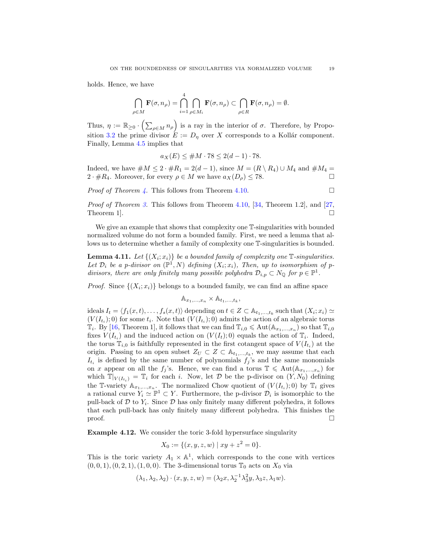holds. Hence, we have

$$
\bigcap_{\rho \in M} \mathbf{F}(\sigma, n_{\rho}) = \bigcap_{i=1}^{4} \bigcap_{\rho \in M_{i}} \mathbf{F}(\sigma, n_{\rho}) \subset \bigcap_{\rho \in R} \mathbf{F}(\sigma, n_{\rho}) = \emptyset.
$$

Thus,  $\eta := \mathbb{R}_{\geq 0} \cdot \left( \sum_{\rho \in M} n_{\rho} \right)$  is a ray in the interior of  $\sigma$ . Therefore, by Propo-sition [3.2](#page-12-2) the prime divisor  $E := D_n$  over X corresponds to a Kollár component. Finally, Lemma [4.5](#page-14-4) implies that

$$
a_X(E) \leq \#M \cdot 78 \leq 2(d-1) \cdot 78.
$$

Indeed, we have  $\#M \leq 2 \cdot \#R_1 = 2(d-1)$ , since  $M = (R \setminus R_4) \cup M_4$  and  $\#M_4 =$  $2 \cdot \#R_4$ . Moreover, for every  $\rho \in M$  we have  $a_X(D_\rho) \leq 78$ .

*Proof of Theorem [4.](#page-2-1)* This follows from Theorem [4.10.](#page-16-1)

*Proof of Theorem [3.](#page-1-1)* This follows from Theorem [4.10,](#page-16-1) [\[34,](#page-26-4) Theorem 1.2], and [\[27,](#page-26-6) Theorem 1.

We give an example that shows that complexity one  $\mathbb{T}$ -singularities with bounded normalized volume do not form a bounded family. First, we need a lemma that allows us to determine whether a family of complexity one T-singularities is bounded.

<span id="page-18-1"></span>**Lemma 4.11.** Let  $\{(X_i; x_i)\}\)$  be a bounded family of complexity one  $\mathbb{T}\text{-}singularities.$ Let  $\mathcal{D}_i$  be a p-divisor on  $(\mathbb{P}^1, N)$  defining  $(X_i; x_i)$ , Then, up to isomorphism of pdivisors, there are only finitely many possible polyhedra  $\mathcal{D}_{i,p} \subset N_{\mathbb{Q}}$  for  $p \in \mathbb{P}^1$ .

*Proof.* Since  $\{(X_i; x_i)\}\)$  belongs to a bounded family, we can find an affine space

$$
\mathbb{A}_{x_1,\ldots,x_n} \times \mathbb{A}_{t_1,\ldots,t_k},
$$

ideals  $I_t = \langle f_1(x,t), \ldots, f_s(x,t) \rangle$  depending on  $t \in Z \subset \mathbb{A}_{t_1,\ldots,t_k}$  such that  $(X_i; x_i) \simeq$  $(V(I_{t_i});0)$  for some  $t_i$ . Note that  $(V(I_{t_i});0)$  admits the action of an algebraic torus  $\mathbb{T}_i$ . By [\[16,](#page-25-21) Theorem 1], it follows that we can find  $\mathbb{T}_{i,0} \leq \text{Aut}(\mathbb{A}_{x_1,\ldots,x_n})$  so that  $\mathbb{T}_{i,0}$ fixes  $V(I_{t_i})$  and the induced action on  $(V(I_t); 0)$  equals the action of  $\mathbb{T}_i$ . Indeed, the torus  $\mathbb{T}_{i,0}$  is faithfully represented in the first cotangent space of  $V(I_{t_i})$  at the origin. Passing to an open subset  $Z_U \subset Z \subset \mathbb{A}_{t_1,\dots,t_k}$ , we may assume that each  $I_{t_i}$  is defined by the same number of polynomials  $f_j$ 's and the same monomials on x appear on all the  $f_j$ 's. Hence, we can find a torus  $\mathbb{T} \leq \text{Aut}(\mathbb{A}_{x_1,\ldots,x_n})$  for which  $\mathbb{T}|_{V(I_{t_i})} = \mathbb{T}_i$  for each i. Now, let  $D$  be the p-divisor on  $(Y, N_0)$  defining the T-variety  $\mathbb{A}_{x_1,\dots,x_n}$ . The normalized Chow quotient of  $(V(I_{t_i});0)$  by  $\mathbb{T}_i$  gives a rational curve  $Y_i \simeq \mathbb{P}^1 \subset Y$ . Furthermore, the p-divisor  $\mathcal{D}_i$  is isomorphic to the pull-back of  $D$  to  $Y_i$ . Since  $D$  has only finitely many different polyhedra, it follows that each pull-back has only finitely many different polyhedra. This finishes the  $\Box$ 

<span id="page-18-0"></span>Example 4.12. We consider the toric 3-fold hypersurface singularity

$$
X_0 := \{ (x, y, z, w) \mid xy + z^2 = 0 \}.
$$

This is the toric variety  $A_1 \times \mathbb{A}^1$ , which corresponds to the cone with vertices  $(0, 0, 1), (0, 2, 1), (1, 0, 0)$ . The 3-dimensional torus  $\mathbb{T}_0$  acts on  $X_0$  via

$$
(\lambda_1, \lambda_2, \lambda_2) \cdot (x, y, z, w) = (\lambda_2 x, \lambda_2^{-1} \lambda_3^{2} y, \lambda_3 z, \lambda_1 w).
$$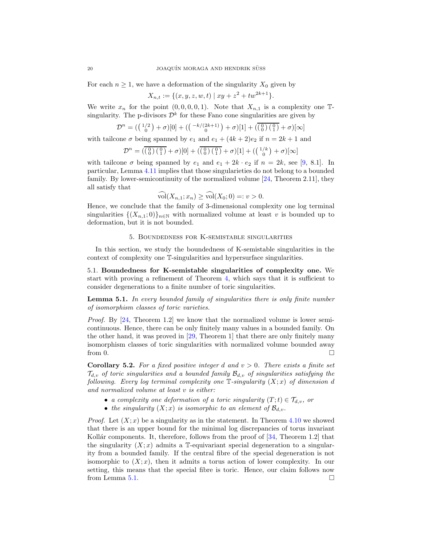For each  $n \geq 1$ , we have a deformation of the singularity  $X_0$  given by

$$
X_{n,t} := \{ (x, y, z, w, t) \mid xy + z^2 + tw^{2k+1} \}.
$$

We write  $x_n$  for the point  $(0, 0, 0, 0, 1)$ . Note that  $X_{n,1}$  is a complexity one  $\mathbb{T}$ singularity. The p-divisors  $\mathcal{D}^k$  for these Fano cone singularities are given by

$$
\mathcal{D}^{n} = (\binom{1/2}{0} + \sigma)[0] + (\binom{-k/(2k+1)}{0} + \sigma)[1] + (\overline{\binom{0}{0}\binom{0}{1}} + \sigma)[\infty]
$$

with tailcone  $\sigma$  being spanned by  $e_1$  and  $e_1 + (4k+2)e_2$  if  $n = 2k+1$  and

$$
\mathcal{D}^{n} = \left( \overline{\left( \begin{smallmatrix} 0 \\ 0 \end{smallmatrix} \right) \left( \begin{smallmatrix} 0 \\ 1 \end{smallmatrix} \right)} + \sigma \right) [0] + \left( \overline{\left( \begin{smallmatrix} 0 \\ 0 \end{smallmatrix} \right) \left( \begin{smallmatrix} 0 \\ 1 \end{smallmatrix} \right)} + \sigma \right) [1] + \left( \begin{smallmatrix} 1/k \\ 0 \end{smallmatrix} \right) + \sigma \right) [\infty]
$$

with tailcone  $\sigma$  being spanned by  $e_1$  and  $e_1 + 2k \cdot e_2$  if  $n = 2k$ , see [\[9,](#page-25-22) 8.1]. In particular, Lemma [4.11](#page-18-1) implies that those singularieties do not belong to a bounded family. By lower-semicontinuity of the normalized volume [\[24,](#page-26-2) Theorem 2.11], they all satisfy that

$$
\widehat{\mathrm{vol}}(X_{n,1};x_n)\geq \widehat{\mathrm{vol}}(X_0;0)=:v>0.
$$

Hence, we conclude that the family of 3-dimensional complexity one log terminal singularities  $\{(X_{n,1};0)\}_{n\in\mathbb{N}}$  with normalized volume at least v is bounded up to deformation, but it is not bounded.

## 5. Boundedness for K-semistable singularities

<span id="page-19-0"></span>In this section, we study the boundedness of K-semistable singularities in the context of complexity one T-singularities and hypersurface singularities.

5.1. Boundedness for K-semistable singularities of complexity one. We start with proving a refinement of Theorem [4,](#page-2-1) which says that it is sufficient to consider degenerations to a finite number of toric singularities.

<span id="page-19-1"></span>**Lemma 5.1.** In every bounded family of singularities there is only finite number of isomorphism classes of toric varieties.

Proof. By [\[24,](#page-26-2) Theorem 1.2] we know that the normalized volume is lower semicontinuous. Hence, there can be only finitely many values in a bounded family. On the other hand, it was proved in [\[29,](#page-26-3) Theorem 1] that there are only finitely many isomorphism classes of toric singularities with normalized volume bounded away from 0.  $\Box$ 

<span id="page-19-2"></span>**Corollary 5.2.** For a fixed positive integer d and  $v > 0$ . There exists a finite set  $\mathcal{T}_{d,v}$  of toric singularities and a bounded family  $\mathcal{B}_{d,v}$  of singularities satisfying the following. Every log terminal complexity one  $\mathbb T$ -singularity  $(X; x)$  of dimension d and normalized volume at least v is either:

- a complexity one deformation of a toric singularity  $(T;t) \in \mathcal{T}_{d,v}$ , or
- the singularity  $(X; x)$  is isomorphic to an element of  $\mathcal{B}_{d,v}$ .

*Proof.* Let  $(X; x)$  be a singularity as in the statement. In Theorem [4.10](#page-16-1) we showed that there is an upper bound for the minimal log discrepancies of torus invariant Kollár components. It, therefore, follows from the proof of  $[34,$  Theorem 1.2 that the singularity  $(X; x)$  admits a T-equivariant special degeneration to a singularity from a bounded family. If the central fibre of the special degeneration is not isomorphic to  $(X; x)$ , then it admits a torus action of lower complexity. In our setting, this means that the special fibre is toric. Hence, our claim follows now from Lemma [5.1.](#page-19-1)  $\Box$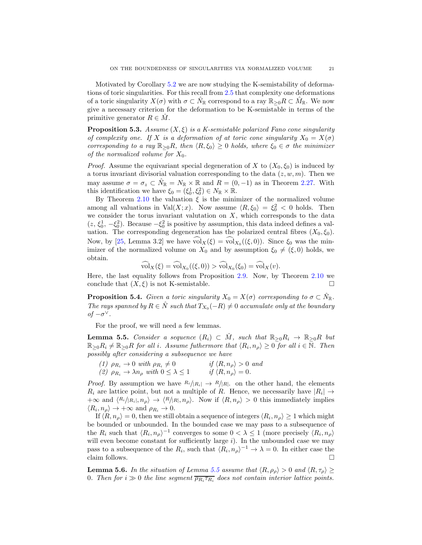Motivated by Corollary [5.2](#page-19-2) we are now studying the K-semistability of deformations of toric singularities. For this recall from [2.5](#page-8-4) that complexity one deformations of a toric singularity  $X(\sigma)$  with  $\sigma \subset \hat{N}_{\mathbb{R}}$  correspond to a ray  $\mathbb{R}_{\geq 0}R \subset \hat{M}_{\mathbb{R}}$ . We now give a necessary criterion for the deformation to be K-semistable in terms of the primitive generator  $R \in M$ .

<span id="page-20-3"></span>**Proposition 5.3.** Assume  $(X, \xi)$  is a K-semistable polarized Fano cone singularity of complexity one. If X is a deformation of at toric cone singularity  $X_0 = X(\sigma)$ corresponding to a ray  $\mathbb{R}_{\geq 0}R$ , then  $\langle R, \xi_0 \rangle \geq 0$  holds, where  $\xi_0 \in \sigma$  the minimizer of the normalized volume for  $X_0$ .

*Proof.* Assume the equivariant special degeneration of X to  $(X_0, \xi_0)$  is induced by a torus invariant divisorial valuation corresponding to the data  $(z, w, m)$ . Then we may assume  $\sigma = \sigma_z \subset \hat{N}_{\mathbb{R}} = N_{\mathbb{R}} \times \mathbb{R}$  and  $R = (0, -1)$  as in Theorem [2.27.](#page-9-1) With this identification we have  $\xi_0 = (\xi_0^1, \xi_0^2) \in N_{\mathbb{R}} \times \mathbb{R}$ .

By Theorem [2.10](#page-4-1) the valuation  $\xi$  is the minimizer of the normalized volume among all valuations in Val $(X; x)$ . Now assume  $\langle R, \xi_0 \rangle = \xi_0^2 < 0$  holds. Then we consider the torus invariant valutation on  $X$ , which corresponds to the data  $(z, \xi_0^1, -\xi_0^2)$ . Because  $-\xi_0^2$  is positive by assumption, this data indeed defines a valuation. The corresponding degeneration has the polarized central fibres  $(X_0, \xi_0)$ . Now, by [\[25,](#page-26-11) Lemma 3.2] we have  $vol_X(\xi) = vol_{X_0}((\xi, 0))$ . Since  $\xi_0$  was the minimizer of the normalized volume on  $X_0$  and by assumption  $\xi_0 \neq (\xi, 0)$  holds, we obtain.

$$
\text{vol}_X(\xi) = \text{vol}_{X_0}((\xi, 0)) > \text{vol}_{X_0}(\xi_0) = \text{vol}_X(v).
$$

Here, the last equality follows from Proposition [2.9.](#page-4-0) Now, by Theorem [2.10](#page-4-1) we conclude that  $(X, \xi)$  is not K-semistable.

<span id="page-20-1"></span>**Proposition 5.4.** Given a toric singularity  $X_0 = X(\sigma)$  corresponding to  $\sigma \subset \hat{N}_{\mathbb{R}}$ . The rays spanned by  $R \in \hat{N}$  such that  $T_{X_0}(-R) \neq 0$  accumulate only at the boundary  $of −σ<sup>∨</sup>$ .

For the proof, we will need a few lemmas.

<span id="page-20-0"></span>**Lemma 5.5.** Consider a sequence  $(R_i) \subset \hat{M}$ , such that  $\mathbb{R}_{\geq 0}R_i \to \mathbb{R}_{\geq 0}R$  but  $\mathbb{R}_{\geq 0}R_i \neq \mathbb{R}_{\geq 0}R$  for all i. Assume futhermore that  $\langle R_i, n_\rho \rangle \geq 0$  for all  $i \in \mathbb{N}$ . Then possibly after considering a subsequence we have

(1)  $\rho_{R_i} \to 0$  with  $\rho_{R_i} \neq 0$  if  $\langle R, n_\rho \rangle > 0$  and (2)  $\rho_{R_i} \to \lambda n_\rho$  with  $0 \leq \lambda \leq 1$  if  $\langle R, n_\rho \rangle = 0$ .

*Proof.* By assumption we have  $R_i/|R_i| \rightarrow R/|R|$ . on the other hand, the elements  $R_i$  are lattice point, but not a multiple of R. Hence, we necessarily have  $|R_i| \to$  $+\infty$  and  $\langle R_i/|R_i|, n_\rho\rangle \to \langle R/|R|, n_\rho\rangle$ . Now if  $\langle R, n_\rho\rangle > 0$  this immediately implies  $\langle R_i, n_\rho \rangle \to +\infty$  and  $\rho_{R_i} \to 0$ .

If  $\langle R, n_\rho \rangle = 0$ , then we still obtain a sequence of integers  $\langle R_i, n_\rho \rangle \ge 1$  which might be bounded or unbounded. In the bounded case we may pass to a subsequence of the  $R_i$  such that  $\langle R_i, n_\rho \rangle^{-1}$  converges to some  $0 < \lambda \leq 1$  (more precisely  $\langle R_i, n_\rho \rangle$ ) will even become constant for sufficiently large  $i$ ). In the unbounded case we may pass to a subsequence of the  $R_i$ , such that  $\langle R_i, n_\rho \rangle^{-1} \to \lambda = 0$ . In either case the claim follows.

<span id="page-20-2"></span>**Lemma 5.6.** In the situation of Lemma [5.5](#page-20-0) assume that  $\langle R, \rho_\rho \rangle > 0$  and  $\langle R, \tau_\rho \rangle \ge$ 0. Then for  $i \gg 0$  the line segment  $\overline{\rho_{R_i} \tau_{R_i}}$  does not contain interior lattice points.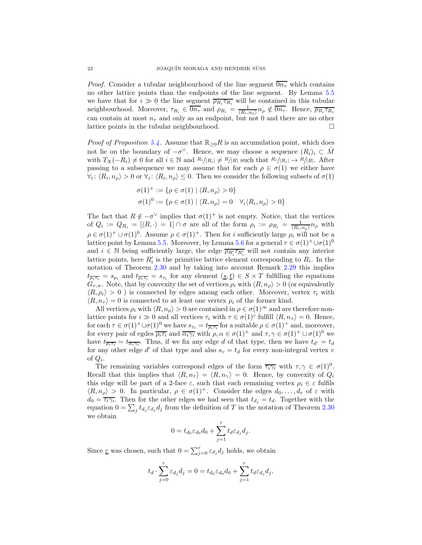*Proof.* Consider a tubular neighbourhood of the line segment  $\overline{0n_{\tau}}$  which contains no other lattice points than the endpoints of the line segment. By Lemma [5.5](#page-20-0) we have that for  $i \gg 0$  the line segment  $\overline{\rho_{R_i} \tau_{R_i}}$  will be contained in this tubular neighbourhood. Moreover,  $\tau_{R_i} \in \overline{0n_{\tau}}$  and  $\rho_{R_i} = \frac{1}{\langle R_i, n_{\rho} \rangle} n_{\rho} \notin \overline{0n_{\tau}}$ . Hence,  $\overline{\rho_{R_i} \tau_{R_i}}$ can contain at most  $n<sub>\tau</sub>$  and only as an endpoint, but not 0 and there are no other lattice points in the tubular neighbourhood.

*Proof of Proposition [5.4.](#page-20-1)* Assume that  $\mathbb{R}_{\geq 0}R$  is an accumulation point, which does not lie on the boundary of  $-\sigma^{\vee}$ . Hence, we may choose a sequence  $(R_i)_i \subset \hat{M}$ with  $T_X(-R_i) \neq 0$  for all  $i \in \mathbb{N}$  and  $R_i/|R_i| \neq R/|R|$  such that  $R_i/|R_i| \to R/|R|$ . After passing to a subsequence we may assume that for each  $\rho \in \sigma(1)$  we either have  $\forall i: \langle R_i, n_\rho \rangle > 0$  or  $\forall i: \langle R_i, n_\rho \rangle \leq 0$ . Then we consider the following subsets of  $\sigma(1)$ 

$$
\begin{aligned} \sigma(1)^+ &:= \{ \rho \in \sigma(1) \mid \langle R, n_\rho \rangle > 0 \} \\ \sigma(1)^0 &:= \{ \rho \in \sigma(1) \mid \langle R, n_\rho \rangle = 0 \quad \forall_i \langle R_i, n_\rho \rangle > 0 \} \end{aligned}
$$

The fact that  $R \notin -\sigma^{\vee}$  implies that  $\sigma(1)^{+}$  is not empty. Notice, that the vertices of  $Q_i := Q_{R_i} = [\langle R, \cdot \rangle = 1] \cap \sigma$  are all of the form  $\rho_i := \rho_{R_i} = \frac{1}{\langle R_i, n_\rho \rangle} n_\rho$  with  $\rho \in \sigma(1)^+ \cup \sigma(1)^0$ . Assume  $\rho \in \sigma(1)^+$ . Then for *i* sufficiently large  $\rho_i$  will not be a lattice point by Lemma [5.5.](#page-20-0) Moreover, by Lemma [5.6](#page-20-2) for a general  $\tau \in \sigma(1)^+ \cup \sigma(1)^0$ and  $i \in \mathbb{N}$  being sufficiently large, the edge  $\overline{\rho_{R'_i} \tau_{R'_i}}$  will not contain any interior lattice points, here  $R'_i$  is the primitive lattice element corresponding to  $R_i$ . In the notation of Theorem [2.30](#page-10-5) and by taking into account Remark [2.29](#page-10-6) this implies  $t_{\overline{\rho_i \tau_i}} = s_{\rho_i}$  and  $t_{\overline{\rho_i \tau_i}} = s_{\tau_i}$  for any element  $(s, t) \in S \times T$  fulfilling the equations  $G_{v,w}$ . Note, that by convexity the set of vertices  $\rho_i$  with  $\langle R, n_o \rangle > 0$  (or equivalently  $\langle R, \rho_i \rangle > 0$ ) is connected by edges among each other. Moreover, vertex  $\tau_i$  with  $\langle R, n_{\tau} \rangle = 0$  is connected to at least one vertex  $\rho_i$  of the former kind.

All vertices  $\rho_i$  with  $\langle R, n_\rho \rangle > 0$  are contained in  $\rho \in \sigma(1)^\infty$  and are therefore nonlattice points for  $i \gg 0$  and all vertices  $\tau_i$  with  $\tau \in \sigma(1)^c$  fulfill  $\langle R, n_{\tau} \rangle = 0$ . Hence, for each  $\tau \in \sigma(1)^+ \cup \sigma(1)^0$  we have  $s_{\tau_i} = t_{\overline{\rho_i \tau_i}}$  for a suitable  $\rho \in \sigma(1)^+$  and, moreover, for every pair of egdes  $\overline{\rho_i \tau_i}$  and  $\overline{\alpha_i \gamma_i}$  with  $\rho, \alpha \in \sigma(1)^+$  and  $\tau, \gamma \in \sigma(1)^+ \cup \sigma(1)^0$  we have  $t_{\overline{\rho_i \tau_i}} = t_{\overline{\alpha_i \gamma_i}}$ . Thus, if we fix any edge d of that type, then we have  $t_{d'} = t_d$ for any other edge  $d'$  of that type and also  $s_v = t_d$  for every non-integral vertex v of  $Q_i$ .

The remaining variables correspond edges of the form  $\overline{\tau_i \gamma_i}$  with  $\tau, \gamma \in \sigma(1)^0$ . Recall that this implies that  $\langle R, n_{\tau} \rangle = \langle R, n_{\gamma} \rangle = 0$ . Hence, by convexity of  $Q_i$ this edge will be part of a 2-face  $\varepsilon$ , such that each remaining vertex  $\rho_i \in \varepsilon$  fulfils  $\langle R, n_{\rho} \rangle > 0$ . In particular,  $\rho \in \sigma(1)^{+}$ . Consider the edges  $d_0, \ldots, d_r$  of  $\varepsilon$  with  $d_0 = \overline{\tau_i \gamma_i}$ . Then for the other edges we had seen that  $t_{d_j} = t_d$ . Together with the equation  $0 = \sum_j t_{d_j} \varepsilon_{d_j} d_j$  from the definition of T in the notation of Theorem [2.30](#page-10-5) we obtain

$$
0=t_{d_0}\varepsilon_{d_0}d_0+\sum_{j=1}^rt_d\varepsilon_{d_j}d_j.
$$

Since  $\underline{\varepsilon}$  was chosen, such that  $0 = \sum_{j=0}^{r} \varepsilon_{d_j} d_j$  holds, we obtain

$$
t_d \cdot \sum_{j=0}^r \varepsilon_{d_j} d_j = 0 = t_{d_0} \varepsilon_{d_0} d_0 + \sum_{j=1}^r t_d \varepsilon_{d_j} d_j.
$$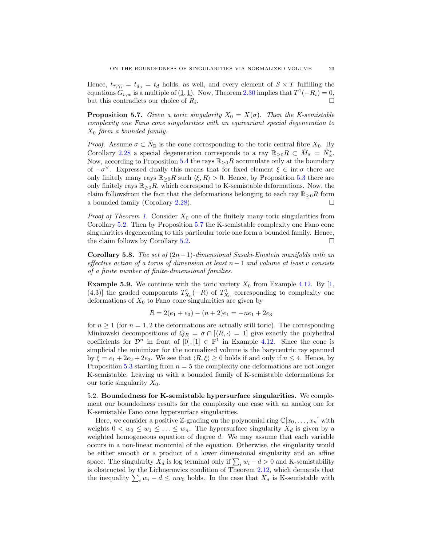Hence,  $t_{\overline{\tau_i}\gamma_i} = t_{d_0} = t_d$  holds, as well, and every element of  $S \times T$  fulfilling the equations  $G_{v,w}$  is a multiple of  $(1,1)$ . Now, Theorem [2.30](#page-10-5) implies that  $T^1(-R_i) = 0$ , but this contradicts our choice of  $R_i$ . .

<span id="page-22-0"></span>**Proposition 5.7.** Given a toric singularity  $X_0 = X(\sigma)$ . Then the K-semistable complexity one Fano cone singularities with an equivariant special degeneration to  $X_0$  form a bounded family.

*Proof.* Assume  $\sigma \subset \hat{N}_{\mathbb{R}}$  is the cone corresponding to the toric central fibre  $X_0$ . By Corollary [2.28](#page-9-2) a special degeneration corresponds to a ray  $\mathbb{R}_{\geq 0}R \subset \hat{M}_{\mathbb{R}} = \hat{N}_{\mathbb{R}}^*$ . Now, according to Proposition [5.4](#page-20-1) the rays  $\mathbb{R}_{\geq 0}R$  accumulate only at the boundary of  $-\sigma^{\vee}$ . Expressed dually this means that for fixed element  $\xi \in \text{int } \sigma$  there are only finitely many rays  $\mathbb{R}_{\geq 0}R$  such  $\langle \xi, R \rangle > 0$ . Hence, by Proposition [5.3](#page-20-3) there are only finitely rays  $\mathbb{R}_{\geq 0}R$ , which correspond to K-semistable deformations. Now, the claim followsfrom the fact that the deformations belonging to each ray  $\mathbb{R}_{\geq 0}R$  form a bounded family (Corollary [2.28\)](#page-9-2).

*Proof of Theorem [1.](#page-1-0)* Consider  $X_0$  one of the finitely many toric singularities from Corollary [5.2.](#page-19-2) Then by Proposition [5.7](#page-22-0) the K-semistable complexity one Fano cone singularities degenerating to this particular toric one form a bounded family. Hence, the claim follows by Corollary [5.2.](#page-19-2)  $\Box$ 

Corollary 5.8. The set of  $(2n-1)$ -dimensional Sasaki-Einstein manifolds with an effective action of a torus of dimension at least  $n-1$  and volume at least v consists of a finite number of finite-dimensional families.

**Example 5.9.** We continue with the toric variety  $X_0$  from Example [4.12.](#page-18-0) By [\[1,](#page-25-19) (4.3)] the graded components  $T_{X_0}^1(-R)$  of  $T_{X_0}^1$  corresponding to complexity one deformations of  $X_0$  to Fano cone singularities are given by

$$
R = 2(e_1 + e_3) - (n+2)e_1 = -ne_1 + 2e_3
$$

for  $n \geq 1$  (for  $n = 1, 2$  the deformations are actually still toric). The corresponding Minkowski decompositions of  $Q_R = \sigma \cap (\langle R, \cdot \rangle = 1]$  give exactly the polyhedral coefficients for  $\mathcal{D}^n$  in front of  $[0], [1] \in \mathbb{P}^1$  in Example [4.12.](#page-18-0) Since the cone is simplicial the minimizer for the normalized volume is the barycentric ray spanned by  $\xi = e_1 + 2e_2 + 2e_3$ . We see that  $\langle R, \xi \rangle \ge 0$  holds if and only if  $n \le 4$ . Hence, by Proposition [5.3](#page-20-3) starting from  $n = 5$  the complexity one deformations are not longer K-semistable. Leaving us with a bounded family of K-semistable deformations for our toric singularity  $X_0$ .

5.2. Boundedness for K-semistable hypersurface singularities. We complement our boundedness results for the complexity one case with an analog one for K-semistable Fano cone hypersurface singularities.

Here, we consider a positive Z-grading on the polynomial ring  $\mathbb{C}[x_0, \ldots, x_n]$  with weights  $0 < w_0 \leq w_1 \leq \ldots \leq w_n$ . The hypersurface singularity  $X_d$  is given by a weighted homogeneous equation of degree  $d$ . We may assume that each variable occurs in a non-linear monomial of the equation. Otherwise, the singularity would be either smooth or a product of a lower dimensional singularity and an affine space. The singularity  $X_d$  is log terminal only if  $\sum_i w_i - d > 0$  and K-semistability is obstructed by the Lichnerowicz condition of Theorem [2.12,](#page-5-2) which demands that the inequality  $\sum_i w_i - d \leq n w_0$  holds. In the case that  $X_d$  is K-semistable with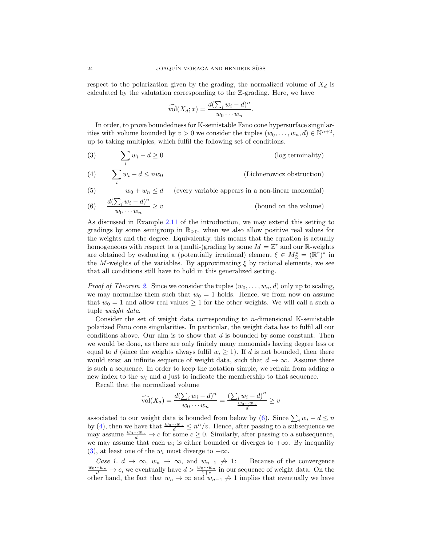respect to the polarization given by the grading, the normalized volume of  $X_d$  is calculated by the valutation corresponding to the Z-grading. Here, we have

$$
\widehat{\text{vol}}(X_d; x) = \frac{d(\sum_i w_i - d)^n}{w_0 \cdots w_n}.
$$

In order, to prove boundedness for K-semistable Fano cone hypersurface singularities with volume bounded by  $v > 0$  we consider the tuples  $(w_0, \ldots, w_n, d) \in \mathbb{N}^{n+2}$ , up to taking multiples, which fulfil the following set of conditions.

- <span id="page-23-2"></span> $\overline{\phantom{0}}$ i (3)  $\sum w_i - d \ge 0$  (log terminality)
- <span id="page-23-1"></span> $\overline{\phantom{0}}$ i (4)  $\sum w_i - d \leq n w_0$  (Lichnerowicz obstruction)
- <span id="page-23-3"></span>(5)  $w_0 + w_n \leq d$  (every variable appears in a non-linear monomial)  $d(\sum_i w_i - d)^n$

<span id="page-23-0"></span>(6) 
$$
\frac{w(2i)^{u}u^{v}}{w_0 \cdots w_n} \geq v
$$
 (bound on the volume)

As discussed in Example [2.11](#page-5-3) of the introduction, we may extend this setting to gradings by some semigroup in  $\mathbb{R}_{\geq 0}$ , when we also allow positive real values for the weights and the degree. Equivalently, this means that the equation is actually homogeneous with respect to a (multi-)grading by some  $M = \mathbb{Z}^r$  and our R-weights are obtained by evaluating a (potentially irrational) element  $\xi \in M_{\mathbb{R}}^* = (\mathbb{R}^r)^*$  in the M-weights of the variables. By approximating  $\xi$  by rational elements, we see that all conditions still have to hold in this generalized setting.

*Proof of Theorem [2.](#page-1-2)* Since we consider the tuples  $(w_0, \ldots, w_n, d)$  only up to scaling, we may normalize them such that  $w_0 = 1$  holds. Hence, we from now on assume that  $w_0 = 1$  and allow real values  $\geq 1$  for the other weights. We will call a such a tuple weight data.

Consider the set of weight data corresponding to  $n$ -dimensional K-semistable polarized Fano cone singularities. In particular, the weight data has to fulfil all our conditions above. Our aim is to show that  $d$  is bounded by some constant. Then we would be done, as there are only finitely many monomials having degree less or equal to d (since the weights always fulfil  $w_i \geq 1$ ). If d is not bounded, then there would exist an infinite sequence of weight data, such that  $d \to \infty$ . Assume there is such a sequence. In order to keep the notation simple, we refrain from adding a new index to the  $w_i$  and  $d$  just to indicate the membership to that sequence.

Recall that the normalized volume

$$
\widehat{\text{vol}}(X_d) = \frac{d(\sum_i w_i - d)^n}{w_0 \cdots w_n} = \frac{(\sum_i w_i - d)^n}{\frac{w_0 \cdots w_n}{d}} \ge v
$$

associated to our weight data is bounded from below by [\(6\)](#page-23-0). Since  $\sum_i w_i - d \leq n$ by [\(4\)](#page-23-1), then we have that  $\frac{w_0 \cdots w_n}{d} \leq n^n/v$ . Hence, after passing to a subsequence we may assume  $\frac{w_0 \cdots w_n}{d} \to c$  for some  $c \geq 0$ . Similarly, after passing to a subsequence, we may assume that each  $w_i$  is either bounded or diverges to  $+\infty$ . By inequality [\(3\)](#page-23-2), at least one of the  $w_i$  must diverge to  $+\infty$ .

Case 1.  $d \to \infty$ ,  $w_n \to \infty$ , and  $w_{n-1} \nrightarrow 1$ : Because of the convergence  $\frac{w_0 \cdots w_n}{d}$  → c, we eventually have  $d > \frac{w_0 \cdots w_n}{1+c}$  in our sequence of weight data. On the other hand, the fact that  $w_n \to \infty$  and  $w_{n-1} \to 1$  implies that eventually we have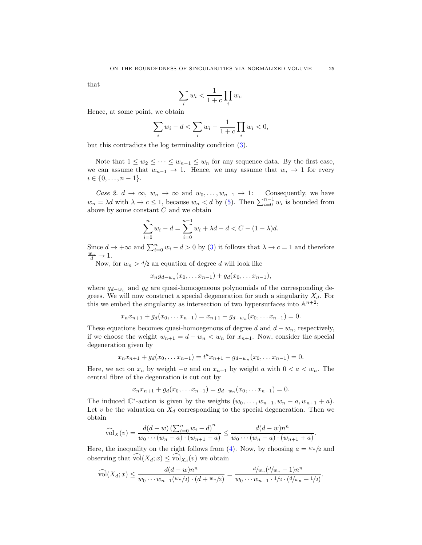that

$$
\sum_i w_i < \frac{1}{1+c} \prod_i w_i.
$$

Hence, at some point, we obtain

$$
\sum_{i} w_i - d < \sum_{i} w_i - \frac{1}{1+c} \prod_{i} w_i < 0,
$$

but this contradicts the log terminality condition [\(3\)](#page-23-2).

Note that  $1 \leq w_2 \leq \cdots \leq w_{n-1} \leq w_n$  for any sequence data. By the first case, we can assume that  $w_{n-1} \to 1$ . Hence, we may assume that  $w_i \to 1$  for every  $i \in \{0, \ldots, n-1\}.$ 

Case 2.  $d \to \infty$ ,  $w_n \to \infty$  and  $w_0, \ldots, w_{n-1} \to 1$ : Consequently, we have  $w_n = \lambda d$  with  $\lambda \to c \leq 1$ , because  $w_n < d$  by [\(5\)](#page-23-3). Then  $\sum_{i=0}^{n-1} w_i$  is bounded from above by some constant  $C$  and we obtain

$$
\sum_{i=0}^{n} w_i - d = \sum_{i=0}^{n-1} w_i + \lambda d - d < C - (1 - \lambda)d.
$$

Since  $d \to +\infty$  and  $\sum_{i=0}^{n} w_i - d > 0$  by [\(3\)](#page-23-2) it follows that  $\lambda \to c = 1$  and therefore  $\frac{w_n}{d} \to 1.$ 

Now, for  $w_n > d/2$  an equation of degree d will look like

$$
x_n g_{d-w_n}(x_0,... x_{n-1}) + g_d(x_0,... x_{n-1}),
$$

where  $g_{d-w_n}$  and  $g_d$  are quasi-homogeneous polynomials of the corresponding degrees. We will now construct a special degeneration for such a singularity  $X_d$ . For this we embed the singularity as intersection of two hypersurfaces into  $\mathbb{A}^{n+2}$ .

$$
x_n x_{n+1} + g_d(x_0, \ldots x_{n-1}) = x_{n+1} - g_{d-w_n}(x_0, \ldots x_{n-1}) = 0.
$$

These equations becomes quasi-homoegenous of degree d and  $d - w_n$ , respectively, if we choose the weight  $w_{n+1} = d - w_n < w_n$  for  $x_{n+1}$ . Now, consider the special degeneration given by

$$
x_n x_{n+1} + g_d(x_0, \dots x_{n-1}) = t^a x_{n+1} - g_{d-w_n}(x_0, \dots x_{n-1}) = 0.
$$

Here, we act on  $x_n$  by weight  $-a$  and on  $x_{n+1}$  by weight a with  $0 < a < w_n$ . The central fibre of the degenration is cut out by

$$
x_n x_{n+1} + g_d(x_0, \ldots x_{n-1}) = g_{d-w_n}(x_0, \ldots x_{n-1}) = 0.
$$

The induced  $\mathbb{C}^*$ -action is given by the weights  $(w_0, \ldots, w_{n-1}, w_n - a, w_{n+1} + a)$ . Let  $v$  be the valuation on  $X_d$  corresponding to the special degeneration. Then we obtain

$$
\widehat{\text{vol}}_X(v) = \frac{d(d-w)\left(\sum_{i=0}^n w_i - d\right)^n}{w_0 \cdots (w_n - a) \cdot (w_{n+1} + a)} \le \frac{d(d-w)n^n}{w_0 \cdots (w_n - a) \cdot (w_{n+1} + a)}.
$$

Here, the inequality on the right follows from [\(4\)](#page-23-1). Now, by choosing  $a = w_n/2$  and observing that  $vol(X_d; x) \leq vol_{X_d}(v)$  we obtain

$$
\widehat{\text{vol}}(X_d; x) \le \frac{d(d-w)n^n}{w_0 \cdots w_{n-1} (w_n/2) \cdot (d+w_n/2)} = \frac{d/w_n(d/w_n-1)n^n}{w_0 \cdots w_{n-1} \cdot 1/2 \cdot (d/w_n+1/2)}.
$$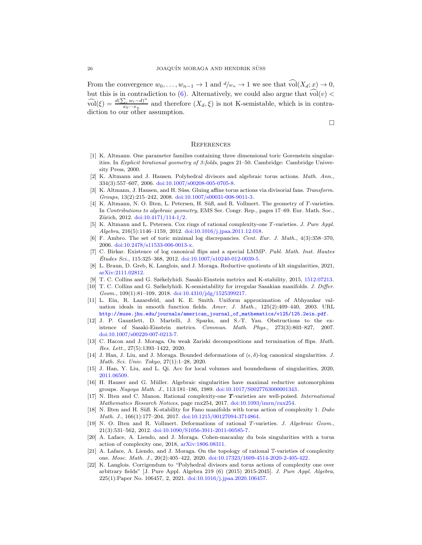From the convergence  $w_0, \ldots, w_{n-1} \to 1$  and  $d/w_n \to 1$  we see that  $vol(X_d; x) \to 0$ , but this is in contradiction to [\(6\)](#page-23-0). Alternatively, we could also argue that  $\widehat{\text{vol}}(v)$  $\widehat{\text{vol}}(\xi) = \frac{d(\sum_i w_i - d)^n}{x_0 \cdots x_n}$  $\frac{\partial u}{\partial x_0 \cdots x_n}$  and therefore  $(X_d, \xi)$  is not K-semistable, which is in contradiction to our other assumption.

 $\Box$ 

### <span id="page-25-0"></span>**REFERENCES**

- <span id="page-25-19"></span>[1] K. Altmann. One parameter families containing three dimensional toric Gorenstein singularities. In Explicit birational geometry of 3-folds, pages 21–50. Cambridge: Cambridge University Press, 2000.
- <span id="page-25-15"></span>[2] K. Altmann and J. Hausen. Polyhedral divisors and algebraic torus actions. Math. Ann., 334(3):557–607, 2006. [doi:10.1007/s00208-005-0705-8.](http://dx.doi.org/10.1007/s00208-005-0705-8)
- <span id="page-25-3"></span>[3] K. Altmann, J. Hausen, and H. Süss. Gluing affine torus actions via divisorial fans. Transform. Groups, 13(2):215–242, 2008. [doi:10.1007/s00031-008-9011-3.](http://dx.doi.org/10.1007/s00031-008-9011-3)
- <span id="page-25-1"></span>[4] K. Altmann, N. O. Ilten, L. Petersen, H. Süß, and R. Vollmert. The geometry of T-varieties. In Contributions to algebraic geometry, EMS Ser. Congr. Rep., pages 17–69. Eur. Math. Soc., Zürich, 2012. [doi:10.4171/114-1/2.](http://dx.doi.org/10.4171/114-1/2)
- <span id="page-25-4"></span>[5] K. Altmann and L. Petersen. Cox rings of rational complexity-one T-varieties. J. Pure Appl. Algebra, 216(5):1146–1159, 2012. [doi:10.1016/j.jpaa.2011.12.018.](http://dx.doi.org/10.1016/j.jpaa.2011.12.018)
- <span id="page-25-11"></span>[6] F. Ambro. The set of toric minimal log discrepancies. Cent. Eur. J. Math., 4(3):358–370, 2006. [doi:10.2478/s11533-006-0013-x.](http://dx.doi.org/10.2478/s11533-006-0013-x)
- <span id="page-25-9"></span>[7] C. Birkar. Existence of log canonical flips and a special LMMP. Publ. Math. Inst. Hautes  $\acute{E}tudes\ Sci.,\ 115:325-368,\ 2012.\ \dot{0}0i:10.1007/s10240-012-0039-5.$
- <span id="page-25-22"></span><span id="page-25-16"></span>[8] L. Braun, D. Greb, K. Langlois, and J. Moraga. Reductive quotients of klt singularities, 2021, [arXiv:2111.02812.](http://arxiv.org/abs/arXiv:2111.02812)
- <span id="page-25-13"></span>[9] T. C. Collins and G. Székelyhidi. Sasaki-Einstein metrics and K-stability, 2015, [1512.07213.](http://arxiv.org/abs/1512.07213)
- [10] T. C. Collins and G. Székelyhidi. K-semistability for irregular Sasakian manifolds. J. Differ. Geom., 109(1):81–109, 2018. [doi:10.4310/jdg/1525399217.](http://dx.doi.org/10.4310/jdg/1525399217)
- <span id="page-25-12"></span>[11] L. Ein, R. Lazarsfeld, and K. E. Smith. Uniform approximation of Abhyankar valuation ideals in smooth function fields. Amer. J. Math., 125(2):409–440, 2003. URL [http://muse.jhu.edu/journals/american\\_journal\\_of\\_mathematics/v125/125.2ein.pdf](http://muse.jhu.edu/journals/american_journal_of_mathematics/v125/125.2ein.pdf).
- <span id="page-25-14"></span>[12] J. P. Gauntlett, D. Martelli, J. Sparks, and S.-T. Yau. Obstructions to the existence of Sasaki-Einstein metrics. Commun. Math. Phys., 273(3):803–827, 2007. [doi:10.1007/s00220-007-0213-7.](http://dx.doi.org/10.1007/s00220-007-0213-7)
- <span id="page-25-10"></span>[13] C. Hacon and J. Moraga. On weak Zariski decompositions and termination of flips. Math. Res. Lett., 27(5):1393–1422, 2020.
- <span id="page-25-8"></span>[14] J. Han, J. Liu, and J. Moraga. Bounded deformations of  $(\epsilon, \delta)$ -log canonical singularities. J. Math. Sci. Univ. Tokyo, 27(1):1–28, 2020.
- <span id="page-25-21"></span><span id="page-25-7"></span>[15] J. Han, Y. Liu, and L. Qi. Acc for local volumes and boundedness of singularities, 2020, [2011.06509.](http://arxiv.org/abs/2011.06509)
- [16] H. Hauser and G. M¨uller. Algebraic singularities have maximal reductive automorphism groups. Nagoya Math. J., 113:181–186, 1989. [doi:10.1017/S0027763000001343.](http://dx.doi.org/10.1017/S0027763000001343)
- <span id="page-25-18"></span>[17] N. Ilten and C. Manon. Rational complexity-one T-varieties are well-poised. International Mathematics Research Notices, page rnx254, 2017. [doi:10.1093/imrn/rnx254.](http://dx.doi.org/10.1093/imrn/rnx254)
- <span id="page-25-17"></span>[18] N. Ilten and H. Süß. K-stability for Fano manifolds with torus action of complexity 1. Duke Math. J., 166(1):177–204, 2017. [doi:10.1215/00127094-3714864.](http://dx.doi.org/10.1215/00127094-3714864)
- <span id="page-25-20"></span>[19] N. O. Ilten and R. Vollmert. Deformations of rational T-varieties. J. Algebraic Geom., 21(3):531–562, 2012. [doi:10.1090/S1056-3911-2011-00585-7.](http://dx.doi.org/10.1090/S1056-3911-2011-00585-7)
- <span id="page-25-5"></span>[20] A. Laface, A. Liendo, and J. Moraga. Cohen-macaulay du bois singularities with a torus action of complexity one, 2018, [arXiv:1806.08311.](http://arxiv.org/abs/arXiv:1806.08311)
- <span id="page-25-6"></span>[21] A. Laface, A. Liendo, and J. Moraga. On the topology of rational T-varieties of complexity one. Mosc. Math. J., 20(2):405–422, 2020. [doi:10.17323/1609-4514-2020-2-405-422.](http://dx.doi.org/10.17323/1609-4514-2020-2-405-422)
- <span id="page-25-2"></span>[22] K. Langlois. Corrigendum to "Polyhedral divisors and torus actions of complexity one over arbitrary fields" [J. Pure Appl. Algebra 219 (6) (2015) 2015-2045]. J. Pure Appl. Algebra, 225(1):Paper No. 106457, 2, 2021. [doi:10.1016/j.jpaa.2020.106457.](http://dx.doi.org/10.1016/j.jpaa.2020.106457)